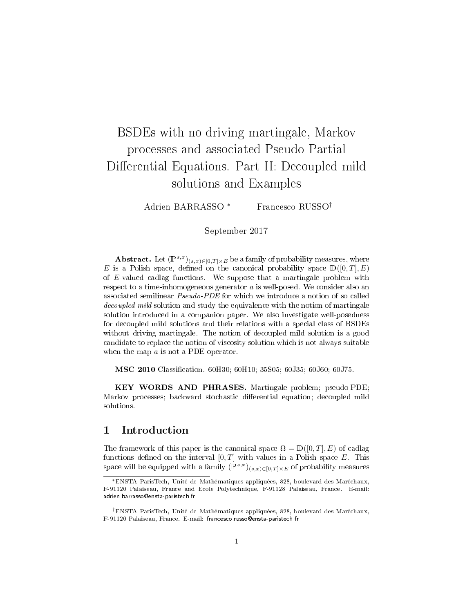# BSDEs with no driving martingale, Markov processes and associated Pseudo Partial Differential Equations. Part II: Decoupled mild solutions and Examples

Adrien BARRASSO<sup>\*</sup> Francesco RUSSO<sup>†</sup>

September 2017

Abstract. Let  $(\mathbb{P}^{s,x})_{(s,x)\in[0,T]\times E}$  be a family of probability measures, where E is a Polish space, defined on the canonical probability space  $\mathbb{D}([0,T], E)$ of E-valued cadlag functions. We suppose that a martingale problem with respect to a time-inhomogeneous generator  $a$  is well-posed. We consider also an associated semilinear Pseudo-PDE for which we introduce a notion of so called decoupled mild solution and study the equivalence with the notion of martingale solution introduced in a companion paper. We also investigate well-posedness for decoupled mild solutions and their relations with a special class of BSDEs without driving martingale. The notion of decoupled mild solution is a good candidate to replace the notion of viscosity solution which is not always suitable when the map a is not a PDE operator.

MSC 2010 Classification. 60H30; 60H10; 35S05; 60J35; 60J60; 60J75.

KEY WORDS AND PHRASES. Martingale problem; pseudo-PDE; Markov processes; backward stochastic differential equation; decoupled mild solutions.

# 1 Introduction

The framework of this paper is the canonical space  $\Omega = \mathbb{D}([0,T], E)$  of cadlag functions defined on the interval  $[0, T]$  with values in a Polish space E. This space will be equipped with a family  $(\mathbb{P}^{s,x})_{(s,x)\in[0,T]\times E}$  of probability measures

<sup>∗</sup>ENSTA ParisTech, Unité de Mathématiques appliquées, 828, boulevard des Maréchaux, F-91120 Palaiseau, France and Ecole Polytechnique, F-91128 Palaiseau, France. E-mail: adrien.barrasso@ensta-paristech.fr

<sup>†</sup>ENSTA ParisTech, Unité de Mathématiques appliquées, 828, boulevard des Maréchaux, F-91120 Palaiseau, France. E-mail: francesco.russo@ensta-paristech.fr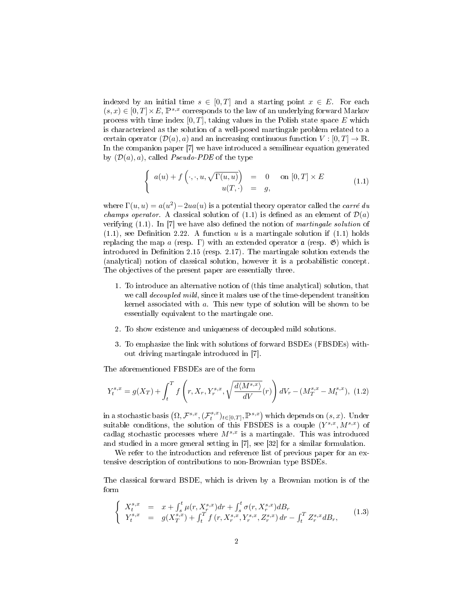indexed by an initial time  $s \in [0, T]$  and a starting point  $x \in E$ . For each  $(s, x) \in [0, T] \times E$ ,  $\mathbb{P}^{s,x}$  corresponds to the law of an underlying forward Markov process with time index  $[0, T]$ , taking values in the Polish state space E which is characterized as the solution of a well-posed martingale problem related to a certain operator  $(\mathcal{D}(a), a)$  and an increasing continuous function  $V : [0, T] \to \mathbb{R}$ . In the companion paper [7] we have introduced a semilinear equation generated by  $(\mathcal{D}(a), a)$ , called *Pseudo-PDE* of the type

$$
\begin{cases}\n a(u) + f(\cdot, \cdot, u, \sqrt{\Gamma(u, u)}) = 0 & \text{on } [0, T] \times E \\
 u(T, \cdot) = g,\n\end{cases}
$$
\n(1.1)

where  $\Gamma(u, u) = a(u^2) - 2ua(u)$  is a potential theory operator called the *carré du champs operator.* A classical solution of  $(1.1)$  is defined as an element of  $\mathcal{D}(a)$ verifying  $(1.1)$ . In [7] we have also defined the notion of *martingale solution* of  $(1.1)$ , see Definition 2.22. A function u is a martingale solution if  $(1.1)$  holds replacing the map a (resp. Γ) with an extended operator  $\alpha$  (resp.  $\mathfrak{G}$ ) which is introduced in Definition 2.15 (resp. 2.17). The martingale solution extends the (analytical) notion of classical solution, however it is a probabilistic concept. The objectives of the present paper are essentially three.

- 1. To introduce an alternative notion of (this time analytical) solution, that we call *decoupled mild*, since it makes use of the time-dependent transition kernel associated with a. This new type of solution will be shown to be essentially equivalent to the martingale one.
- 2. To show existence and uniqueness of decoupled mild solutions.
- 3. To emphasize the link with solutions of forward BSDEs (FBSDEs) without driving martingale introduced in [7].

The aforementioned FBSDEs are of the form

$$
Y_t^{s,x} = g(X_T) + \int_t^T f\left(r, X_r, Y_r^{s,x}, \sqrt{\frac{d\langle M^{s,x} \rangle}{dV}}(r)\right) dV_r - (M_T^{s,x} - M_t^{s,x}), \tag{1.2}
$$

in a stochastic basis  $(\Omega, \mathcal{F}^{s,x}, (\mathcal{F}^{s,x}_t)_{t\in[0,T]}, \mathbb{P}^{s,x})$  which depends on  $(s, x)$ . Under suitable conditions, the solution of this FBSDES is a couple  $(Y^{s,x}, M^{s,x})$  of cadlag stochastic processes where  $M^{s,x}$  is a martingale. This was introduced and studied in a more general setting in [7], see [32] for a similar formulation.

We refer to the introduction and reference list of previous paper for an extensive description of contributions to non-Brownian type BSDEs.

The classical forward BSDE, which is driven by a Brownian motion is of the form

$$
\begin{cases}\nX_t^{s,x} = x + \int_s^t \mu(r, X_r^{s,x}) dr + \int_s^t \sigma(r, X_r^{s,x}) dB_r \\
Y_t^{s,x} = g(X_T^{s,x}) + \int_t^T f(r, X_r^{s,x}, Y_r^{s,x}, Z_r^{s,x}) dr - \int_t^T Z_r^{s,x} dB_r,\n\end{cases}
$$
\n(1.3)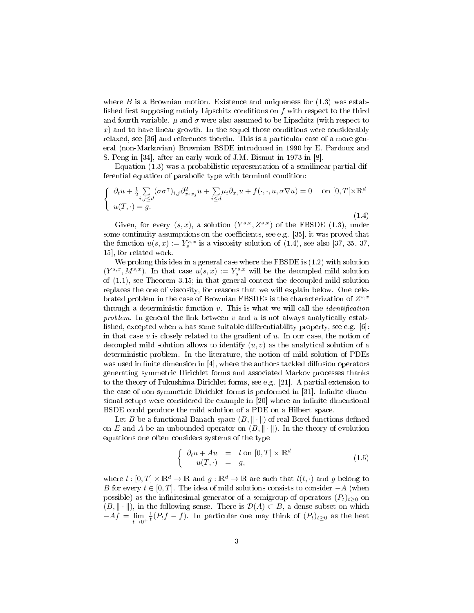where  $B$  is a Brownian motion. Existence and uniqueness for  $(1.3)$  was established first supposing mainly Lipschitz conditions on  $f$  with respect to the third and fourth variable.  $\mu$  and  $\sigma$  were also assumed to be Lipschitz (with respect to  $x$ ) and to have linear growth. In the sequel those conditions were considerably relaxed, see [36] and references therein. This is a particular case of a more general (non-Markovian) Brownian BSDE introduced in 1990 by E. Pardoux and S. Peng in [34], after an early work of J.M. Bismut in 1973 in [8].

Equation (1.3) was a probabilistic representation of a semilinear partial differential equation of parabolic type with terminal condition:

$$
\begin{cases} \n\partial_t u + \frac{1}{2} \sum_{i,j \leq d} (\sigma \sigma^{\mathsf{T}})_{i,j} \partial_{x_i x_j}^2 u + \sum_{i \leq d} \mu_i \partial_{x_i} u + f(\cdot, \cdot, u, \sigma \nabla u) = 0 \quad \text{on } [0, T[ \times \mathbb{R}^d] \\ \nu(T, \cdot) = g. \n\end{cases}
$$
\n(1.4)

Given, for every  $(s, x)$ , a solution  $(Y^{s,x}, Z^{s,x})$  of the FBSDE (1.3), under some continuity assumptions on the coefficients, see e.g.  $[35]$ , it was proved that the function  $u(s, x) := Y_s^{s, x}$  is a viscosity solution of (1.4), see also [37, 35, 37, 15], for related work.

We prolong this idea in a general case where the FBSDE is  $(1.2)$  with solution  $(Y^{s,x}, M^{s,x})$ . In that case  $u(s,x) := Y_s^{s,x}$  will be the decoupled mild solution of (1.1), see Theorem 3.15; in that general context the decoupled mild solution replaces the one of viscosity, for reasons that we will explain below. One celebrated problem in the case of Brownian FBSDEs is the characterization of  $Z^{s,x}$ through a deterministic function  $v$ . This is what we will call the *identification* problem. In general the link between  $v$  and  $u$  is not always analytically established, excepted when u has some suitable differentiability property, see e.g.  $[6]$ : in that case  $v$  is closely related to the gradient of  $u$ . In our case, the notion of decoupled mild solution allows to identify  $(u, v)$  as the analytical solution of a deterministic problem. In the literature, the notion of mild solution of PDEs was used in finite dimension in  $[4]$ , where the authors tackled diffusion operators generating symmetric Dirichlet forms and associated Markov processes thanks to the theory of Fukushima Dirichlet forms, see e.g. [21]. A partial extension to the case of non-symmetric Dirichlet forms is performed in [31]. Infinite dimensional setups were considered for example in [20] where an infinite dimensional BSDE could produce the mild solution of a PDE on a Hilbert space.

Let B be a functional Banach space  $(B, \|\cdot\|)$  of real Borel functions defined on E and A be an unbounded operator on  $(B, \|\cdot\|)$ . In the theory of evolution equations one often considers systems of the type

$$
\begin{cases} \partial_t u + Au = l \text{ on } [0, T] \times \mathbb{R}^d \\ u(T, \cdot) = g, \end{cases}
$$
\n(1.5)

where  $l : [0, T] \times \mathbb{R}^d \to \mathbb{R}$  and  $q : \mathbb{R}^d \to \mathbb{R}$  are such that  $l(t, \cdot)$  and g belong to B for every  $t \in [0, T]$ . The idea of mild solutions consists to consider  $-A$  (when possible) as the infinitesimal generator of a semigroup of operators  $(P_t)_{t\geq0}$  on  $(B, \|\cdot\|)$ , in the following sense. There is  $\mathcal{D}(A) \subset B$ , a dense subset on which  $-Af = \lim_{t \to 0^+}$  $\frac{1}{t}(P_t f - f)$ . In particular one may think of  $(P_t)_{t\geq 0}$  as the heat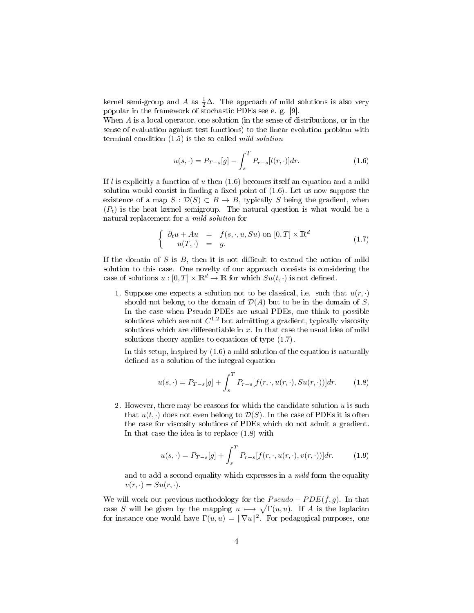kernel semi-group and A as  $\frac{1}{2}\Delta$ . The approach of mild solutions is also very popular in the framework of stochastic PDEs see e. g. [9].

When A is a local operator, one solution (in the sense of distributions, or in the sense of evaluation against test functions) to the linear evolution problem with terminal condition  $(1.5)$  is the so called *mild solution* 

$$
u(s, \cdot) = P_{T-s}[g] - \int_{s}^{T} P_{r-s}[l(r, \cdot)] dr.
$$
 (1.6)

If l is explicitly a function of u then  $(1.6)$  becomes itself an equation and a mild solution would consist in finding a fixed point of  $(1.6)$ . Let us now suppose the existence of a map  $S: \mathcal{D}(S) \subset B \to B$ , typically S being the gradient, when  $(P_t)$  is the heat kernel semigroup. The natural question is what would be a natural replacement for a mild solution for

$$
\begin{cases}\n\partial_t u + Au & = f(s, \cdot, u, Su) \text{ on } [0, T] \times \mathbb{R}^d \\
u(T, \cdot) & = g.\n\end{cases}
$$
\n(1.7)

If the domain of  $S$  is  $B$ , then it is not difficult to extend the notion of mild solution to this case. One novelty of our approach consists is considering the case of solutions  $u : [0, T] \times \mathbb{R}^d \to \mathbb{R}$  for which  $Su(t, \cdot)$  is not defined.

1. Suppose one expects a solution not to be classical, i.e. such that  $u(r, \cdot)$ should not belong to the domain of  $\mathcal{D}(A)$  but to be in the domain of S. In the case when Pseudo-PDEs are usual PDEs, one think to possible solutions which are not  $C^{1,2}$  but admitting a gradient, typically viscosity solutions which are differentiable in  $x$ . In that case the usual idea of mild solutions theory applies to equations of type (1.7).

In this setup, inspired by (1.6) a mild solution of the equation is naturally defined as a solution of the integral equation

$$
u(s, \cdot) = P_{T-s}[g] + \int_s^T P_{r-s}[f(r, \cdot, u(r, \cdot), Su(r, \cdot))]dr.
$$
 (1.8)

2. However, there may be reasons for which the candidate solution  $u$  is such that  $u(t, \cdot)$  does not even belong to  $\mathcal{D}(S)$ . In the case of PDEs it is often the case for viscosity solutions of PDEs which do not admit a gradient. In that case the idea is to replace (1.8) with

$$
u(s, \cdot) = P_{T-s}[g] + \int_s^T P_{r-s}[f(r, \cdot, u(r, \cdot), v(r, \cdot))]dr.
$$
 (1.9)

and to add a second equality which expresses in a *mild* form the equality  $v(r, \cdot) = Su(r, \cdot).$ 

We will work out previous methodology for the  $Pseudo - PDE(f, g)$ . In that case S will be given by the mapping  $u \mapsto \sqrt{\Gamma(u, u)}$ . If A is the laplacian for instance one would have  $\Gamma(u,u) = \|\nabla u\|^2$ . For pedagogical purposes, one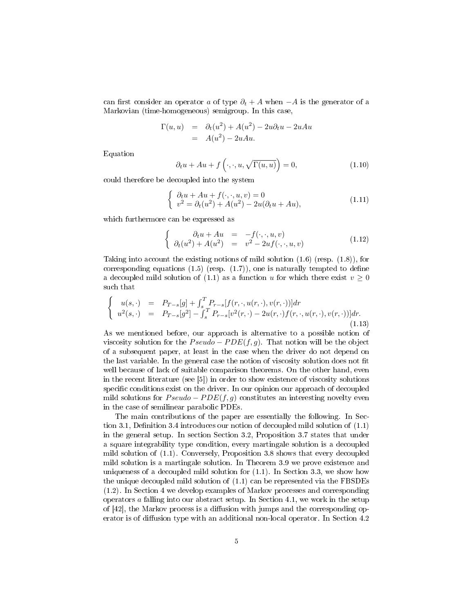can first consider an operator a of type  $\partial_t + A$  when  $-A$  is the generator of a Markovian (time-homogeneous) semigroup. In this case,

$$
\Gamma(u, u) = \partial_t(u^2) + A(u^2) - 2u\partial_t u - 2uAu
$$
  
=  $A(u^2) - 2uAu$ .

Equation

$$
\partial_t u + Au + f\left(\cdot, \cdot, u, \sqrt{\Gamma(u, u)}\right) = 0,\tag{1.10}
$$

could therefore be decoupled into the system

$$
\begin{cases}\n\partial_t u + Au + f(\cdot, \cdot, u, v) = 0 \\
v^2 = \partial_t (u^2) + A(u^2) - 2u(\partial_t u + Au),\n\end{cases}
$$
\n(1.11)

which furthermore can be expressed as

$$
\begin{cases}\n\partial_t u + Au & = -f(\cdot, \cdot, u, v) \\
\partial_t (u^2) + A(u^2) & = v^2 - 2uf(\cdot, \cdot, u, v)\n\end{cases}
$$
\n(1.12)

Taking into account the existing notions of mild solution  $(1.6)$  (resp.  $(1.8)$ ), for corresponding equations  $(1.5)$  (resp.  $(1.7)$ ), one is naturally tempted to define a decoupled mild solution of (1.1) as a function u for which there exist  $v > 0$ such that

$$
\begin{cases}\nu(s,\cdot) = P_{T-s}[g] + \int_s^T P_{r-s}[f(r,\cdot,u(r,\cdot),v(r,\cdot))]dr \\
u^2(s,\cdot) = P_{T-s}[g^2] - \int_s^T P_{r-s}[v^2(r,\cdot) - 2u(r,\cdot)f(r,\cdot,u(r,\cdot),v(r,\cdot))]dr.\n\end{cases} (1.13)
$$

As we mentioned before, our approach is alternative to a possible notion of viscosity solution for the  $Pseudo - PDE(f, g)$ . That notion will be the object of a subsequent paper, at least in the case when the driver do not depend on the last variable. In the general case the notion of viscosity solution does not fit well because of lack of suitable comparison theorems. On the other hand, even in the recent literature (see [5]) in order to show existence of viscosity solutions specific conditions exist on the driver. In our opinion our approach of decoupled mild solutions for  $Pseudo - PDE(f, q)$  constitutes an interesting novelty even in the case of semilinear parabolic PDEs.

The main contributions of the paper are essentially the following. In Section 3.1, Definition 3.4 introduces our notion of decoupled mild solution of  $(1.1)$ in the general setup. In section Section 3.2, Proposition 3.7 states that under a square integrability type condition, every martingale solution is a decoupled mild solution of (1.1). Conversely, Proposition 3.8 shows that every decoupled mild solution is a martingale solution. In Theorem 3.9 we prove existence and uniqueness of a decoupled mild solution for  $(1.1)$ . In Section 3.3, we show how the unique decoupled mild solution of (1.1) can be represented via the FBSDEs (1.2). In Section 4 we develop examples of Markov processes and corresponding operators a falling into our abstract setup. In Section 4.1, we work in the setup of  $[42]$ , the Markov process is a diffusion with jumps and the corresponding operator is of diffusion type with an additional non-local operator. In Section 4.2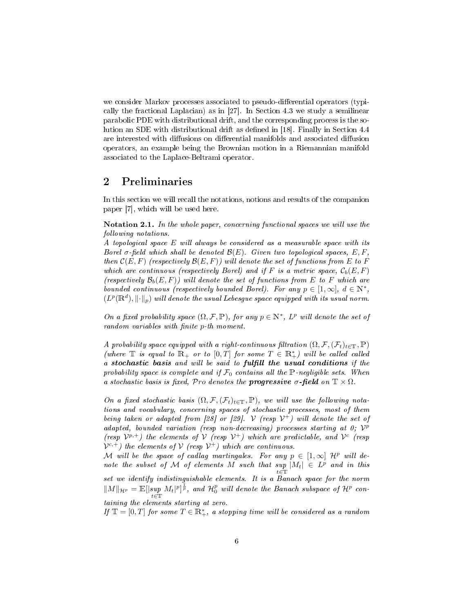we consider Markov processes associated to pseudo-differential operators (typically the fractional Laplacian) as in [27]. In Section 4.3 we study a semilinear parabolic PDE with distributional drift, and the corresponding process is the solution an SDE with distributional drift as defined in [18]. Finally in Section 4.4 are interested with diffusions on differential manifolds and associated diffusion operators, an example being the Brownian motion in a Riemannian manifold associated to the Laplace-Beltrami operator.

## 2 Preliminaries

In this section we will recall the notations, notions and results of the companion paper [7], which will be used here.

Notation 2.1. In the whole paper, concerning functional spaces we will use the following notations.

A topological space E will always be considered as a measurable space with its Borel  $\sigma$ -field which shall be denoted  $\mathcal{B}(E)$ . Given two topological spaces, E, F, then  $\mathcal{C}(E, F)$  (respectively  $\mathcal{B}(E, F)$ ) will denote the set of functions from E to F which are continuous (respectively Borel) and if F is a metric space,  $\mathcal{C}_b(E, F)$ (respectively  $\mathcal{B}_b(E, F)$ ) will denote the set of functions from E to F which are bounded continuous (respectively bounded Borel). For any  $p \in [1,\infty]$ ,  $d \in \mathbb{N}^*$ ,  $(L^p(\mathbb{R}^d),\lVert \cdot \rVert_p)$  will denote the usual Lebesgue space equipped with its usual norm.

On a fixed probability space  $(\Omega, \mathcal{F}, \mathbb{P})$ , for any  $p \in \mathbb{N}^*$ ,  $L^p$  will denote the set of random variables with finite p-th moment.

A probability space equipped with a right-continuous filtration  $(\Omega, \mathcal{F}, (\mathcal{F}_t)_{t \in \mathbb{T}}, \mathbb{P})$ (where  $\mathbb T$  is equal to  $\mathbb R_+$  or to  $[0,T]$  for some  $T \in \mathbb R_+^*$ ) will be called called a stochastic basis and will be said to fulfill the usual conditions if the probability space is complete and if  $\mathcal{F}_0$  contains all the P-negligible sets. When a stochastic basis is fixed, Pro denotes the **progressive**  $\sigma$ -field on  $\mathbb{T} \times \Omega$ .

On a fixed stochastic basis  $(\Omega, \mathcal{F}, (\mathcal{F}_t)_{t\in\mathbb{T}}, \mathbb{P})$ , we will use the following notations and vocabulary, concerning spaces of stochastic processes, most of them being taken or adapted from [28] or [29].  $\mathcal V$  (resp  $\mathcal V^+$ ) will denote the set of adapted, bounded variation (resp non-decreasing) processes starting at  $0$ ;  $V^p$ (resp  $V^{p,+}$ ) the elements of V (resp  $V^{+}$ ) which are predictable, and  $V^{c}$  (resp  $V^{c,+}$ ) the elements of V (resp  $V^+$ ) which are continuous.

M will be the space of cadlag martingales. For any  $p \in [1,\infty]$   $\mathcal{H}^p$  will denote the subset of M of elements M such that sup  $|M_t| \in L^p$  and in this  $t\in\mathbb{T}$ set we identify indistinguishable elements. It is a Banach space for the norm  $\|M\|_{\mathcal{H}^p} = \mathbb{E}[|\sup_{t\in\mathbb{T}}M_t|^p]^{\frac{1}{p}}$ , and  $\mathcal{H}_0^p$  will denote the Banach subspace of  $\mathcal{H}^p$  containing the elements starting at zero.

If  $\mathbb{T} = [0, T]$  for some  $T \in \mathbb{R}^*_+$ , a stopping time will be considered as a random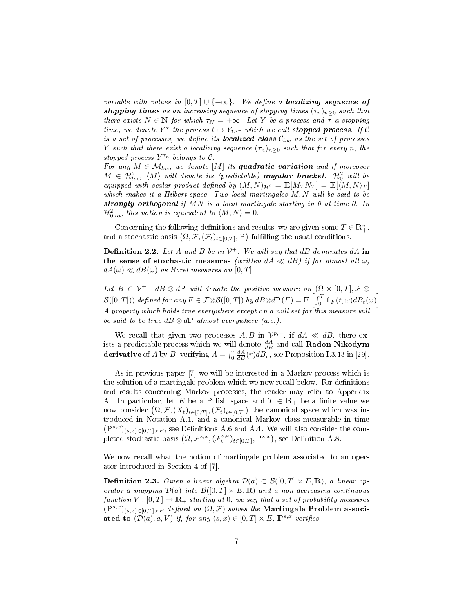variable with values in  $[0, T] \cup \{+\infty\}$ . We define a localizing sequence of stopping times as an increasing sequence of stopping times  $(\tau_n)_{n>0}$  such that there exists  $N \in \mathbb{N}$  for which  $\tau_N = +\infty$ . Let Y be a process and  $\tau$  a stopping time, we denote  $Y^{\tau}$  the process  $t \mapsto Y_{t \wedge \tau}$  which we call **stopped process**. If C is a set of processes, we define its **localized class**  $C_{loc}$  as the set of processes Y such that there exist a localizing sequence  $(\tau_n)_{n>0}$  such that for every n, the stopped process  $Y^{\tau_n}$  belongs to  $\mathcal{C}$ .

For any  $M \in \mathcal{M}_{loc}$ , we denote  $[M]$  its quadratic variation and if moreover  $M~\in~\mathcal{H}_{loc}^2,~\langle M\rangle$  will denote its (predictable) angular bracket.  $\mathcal{H}_0^2$  will be equipped with scalar product defined by  $(M, N)_{\mathcal{H}^2} = \mathbb{E}[M_T N_T] = \mathbb{E}[\langle M, N \rangle_T]$ which makes it a Hilbert space. Two local martingales M, N will be said to be strongly orthogonal if MN is a local martingale starting in 0 at time 0. In  $\mathcal{H}_{0,loc}^2$  this notion is equivalent to  $\langle M, N\rangle = 0$ .

Concerning the following definitions and results, we are given some  $T\in\mathbb{R}_+^*,$ and a stochastic basis  $(\Omega, \mathcal{F}, (\mathcal{F}_t)_{t \in [0,T]}, \mathbb{P})$  fulfilling the usual conditions.

**Definition 2.2.** Let A and B be in  $V^+$ . We will say that dB dominates dA in the sense of stochastic measures (written  $dA \ll dB$ ) if for almost all  $\omega$ ,  $dA(\omega) \ll dB(\omega)$  as Borel measures on [0, T].

Let  $B \in \mathcal{V}^+$ .  $dB \otimes d\mathbb{P}$  will denote the positive measure on  $(\Omega \times [0, T], \mathcal{F} \otimes$  $\mathcal{B}([0,T]))$  defined for any  $F\in\mathcal{F}\otimes\mathcal{B}([0,T])$  by  $dB\otimes d\mathbb{P}(F)=\mathbb{E}\left[\int_0^T1\!\!1_F(t,\omega)dB_t(\omega)\right]$ . A property which holds true everywhere except on a null set for this measure will be said to be true  $dB \otimes dP$  almost everywhere (a.e.).

We recall that given two processes A, B in  $\mathcal{V}^{p,+}$ , if  $dA \ll dB$ , there exists a predictable process which we will denote  $\frac{dA}{dB}$  and call  $\bf Radon\text{-}Nikodym$ derivative of A by B, verifying  $A = \int_0^1 \frac{dA}{dB}(r) dB_r^{\frac{dD}{dD}}$ , see Proposition I.3.13 in [29].

As in previous paper [7] we will be interested in a Markov process which is the solution of a martingale problem which we now recall below. For definitions and results concerning Markov processes, the reader may refer to Appendix A. In particular, let E be a Polish space and  $T \in \mathbb{R}_+$  be a finite value we now consider  $(\Omega, \mathcal{F}, (X_t)_{t\in[0,T]}, (\mathcal{F}_t)_{t\in[0,T]})$  the canonical space which was introduced in Notation A.1, and a canonical Markov class measurable in time  $(\mathbb{P}^{s,x})_{(s,x)\in[0,T]\times E}$ , see Definitions A.6 and A.4. We will also consider the completed stochastic basis  $(\Omega, \mathcal{F}^{s,x}, (\mathcal{F}^{s,x}_t)_{t\in[0,T]}, \mathbb{P}^{s,x})$ , see Definition A.8.

We now recall what the notion of martingale problem associated to an operator introduced in Section 4 of [7].

**Definition 2.3.** Given a linear algebra  $\mathcal{D}(a) \subset \mathcal{B}([0,T] \times E,\mathbb{R})$ , a linear operator a mapping  $\mathcal{D}(a)$  into  $\mathcal{B}([0,T] \times E,\mathbb{R})$  and a non-decreasing continuous function  $V : [0, T] \to \mathbb{R}_+$  starting at 0, we say that a set of probability measures  $(\mathbb{P}^{s,x})_{(s,x)\in[0,T]\times E}$  defined on  $(\Omega,\mathcal{F})$  solves the Martingale Problem associated to  $(\mathcal{D}(a), a, V)$  if, for any  $(s, x) \in [0, T] \times E$ ,  $\mathbb{P}^{s,x}$  verifies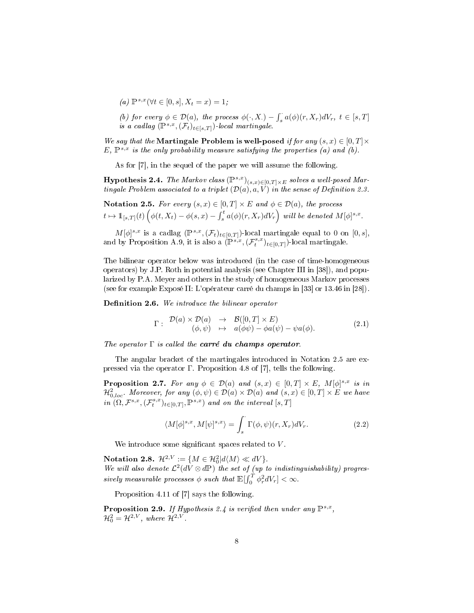- (a)  $\mathbb{P}^{s,x}(\forall t \in [0,s], X_t = x) = 1;$
- (b) for every  $\phi \in \mathcal{D}(a)$ , the process  $\phi(\cdot, X) \int_s^{\cdot} a(\phi)(r, X_r) dV_r$ ,  $t \in [s, T]$ is a cadlag  $(\mathbb{P}^{s,x},(\mathcal{F}_t)_{t\in [s,T]})$ -local martingale.

We say that the Martingale Problem is well-posed if for any  $(s, x) \in [0, T] \times$  $E, \mathbb{P}^{s,x}$  is the only probability measure satisfying the properties (a) and (b).

As for [7], in the sequel of the paper we will assume the following.

**Hypothesis 2.4.** The Markov class  $(\mathbb{P}^{s,x})_{(s,x)\in[0,T]\times E}$  solves a well-posed Martingale Problem associated to a triplet  $(\mathcal{D}(a), a, V)$  in the sense of Definition 2.3.

Notation 2.5. For every  $(s, x) \in [0, T] \times E$  and  $\phi \in \mathcal{D}(a)$ , the process  $t\mapsto \mathbb{1}_{[s,T]}(t) \left(\phi(t,X_t)-\phi(s,x)-\int_s^t a(\phi)(r,X_r)dV_r\right) \text{ will be denoted } M[\phi]^{s,x}.$ 

 $M[\phi]^{s,x}$  is a cadlag  $(\mathbb{P}^{s,x},(\mathcal{F}_t)_{t\in[0,T]})$ -local martingale equal to 0 on  $[0,s],$ and by Proposition A.9, it is also a  $(\mathbb{P}^{s,x},(\mathcal{F}^{s,x}_t)_{t\in[0,T]})$ -local martingale.

The bilinear operator below was introduced (in the case of time-homogeneous operators) by J.P. Roth in potential analysis (see Chapter III in [38]), and popularized by P.A. Meyer and others in the study of homogeneous Markov processes (see for example Exposé II: L'opérateur carré du champs in [33] or 13.46 in [28]).

**Definition 2.6.** We introduce the bilinear operator

$$
\Gamma: \begin{array}{rcl} \mathcal{D}(a) \times \mathcal{D}(a) & \to & \mathcal{B}([0, T] \times E) \\ (\phi, \psi) & \mapsto & a(\phi\psi) - \phi a(\psi) - \psi a(\phi). \end{array} \tag{2.1}
$$

The operator  $\Gamma$  is called the **carré du champs operator**.

The angular bracket of the martingales introduced in Notation 2.5 are expressed via the operator Γ. Proposition 4.8 of [7], tells the following.

**Proposition 2.7.** For any  $\phi \in \mathcal{D}(a)$  and  $(s, x) \in [0, T] \times E$ ,  $M[\phi]^{s,x}$  is in  $\mathcal{H}^2_{0,loc}$ . Moreover, for any  $(\phi, \psi) \in \mathcal{D}(a) \times \mathcal{D}(a)$  and  $(s, x) \in [0, T] \times E$  we have  $in \ (0,\mathcal{F}^{s,x},(\mathcal{F}_t^{s,x})_{t\in[0,T]},\mathbb{P}^{s,x})$  and on the interval  $[s,T]$ 

$$
\langle M[\phi]^{s,x}, M[\psi]^{s,x} \rangle = \int_s \Gamma(\phi, \psi)(r, X_r) dV_r. \tag{2.2}
$$

We introduce some significant spaces related to  $V$ .

Notation 2.8.  $\mathcal{H}^{2,V} := \{ M \in \mathcal{H}_0^2 | d\langle M \rangle \ll dV \}.$ Notation 2.6.  $\pi^+ := \{M \in \pi_0 | u \backslash M \} \ll uv$  for indistinguishability) progres-<br>We will also denote  $\mathcal{L}^2(dV \otimes d\mathbb{P})$  the set of (up to indistinguishability) progressively measurable processes  $\phi$  such that  $\mathbb{E}[\int_0^T \phi_r^2 dV_r] < \infty$ .

Proposition 4.11 of [7] says the following.

**Proposition 2.9.** If Hypothesis 2.4 is verified then under any  $\mathbb{P}^{s,x}$ ,  $\mathcal{H}_0^2 = \mathcal{H}^{2,V}$ , where  $\mathcal{H}^{2,V}$ .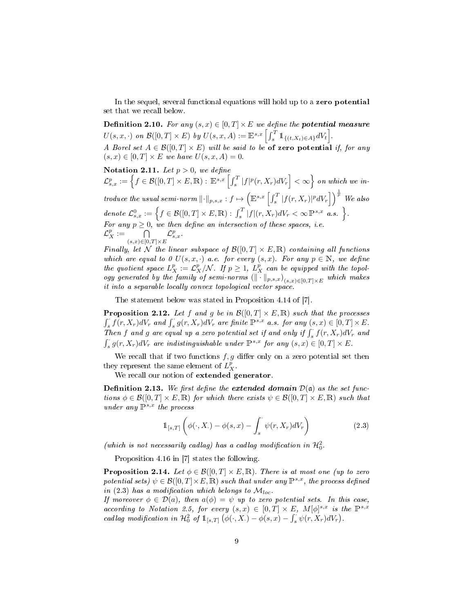In the sequel, several functional equations will hold up to a zero potential set that we recall below.

**Definition 2.10.** For any  $(s, x) \in [0, T] \times E$  we define the **potential measure**  $U(s, x, \cdot)$  on  $\mathcal{B}([0, T] \times E)$  by  $U(s, x, A) := \mathbb{E}^{s, x} \left[ \int_s^T \mathbb{1}_{\{(t, X_t) \in A\}} dV_t \right]$ . A Borel set  $A \in \mathcal{B}([0,T] \times E)$  will be said to be of zero potential if, for any

 $(s, x) \in [0, T] \times E$  we have  $U(s, x, A) = 0$ . Notation 2.11. Let  $p > 0$ , we define  $\mathcal{L}^{p}_{s,x}:=\left\{f\in\mathcal{B}([0,T]\times E,\mathbb{R}):\ \mathbb{E}^{s,x}\left[\int_{s}^{T}|f|^{p}(r,X_{r})dV_{r}\right]<\infty\right\}$  on which we introduce the usual semi-norm  $\lVert \cdot \rVert_{p,s,x} : f \mapsto \left( \mathbb{E}^{s,x} \left[ \int_s^T |f(r,X_r)|^p dV_r \right] \right)^{\frac{1}{p}}$  We also denote  $\mathcal{L}^0_{s,x} := \left\{ f \in \mathcal{B}([0,T] \times E, \mathbb{R}) : \int_s^T |f|(r,X_r) dV_r < \infty \mathbb{P}^{s,x}$  a.s.  $\right\}.$ For any  $p \geq 0$ , we then define an intersection of these spaces, i.e.  $\mathcal{L}^p_X := \bigcap_{(s,x)\in[0,T]\times E}$  $\mathcal{L}_{s,x}^{p}$  .

Finally, let N the linear subspace of  $\mathcal{B}([0,T] \times E, \mathbb{R})$  containing all functions which are equal to 0  $U(s, x, \cdot)$  a.e. for every  $(s, x)$ . For any  $p \in \mathbb{N}$ , we define the quotient space  $L_X^p := \mathcal{L}_X^p/\mathcal{N}$ . If  $p \geq 1$ ,  $L_X^p$  can be equipped with the topology generated by the family of semi-norms  $(\|\cdot\|_{p,s,x})_{(s,x)\in[0,T]\times E}$  which makes it into a separable locally convex topological vector space

The statement below was stated in Proposition 4.14 of [7].

**Proposition 2.12.** Let f and g be in  $\mathcal{B}([0,T] \times E, \mathbb{R})$  such that the processes  $\int_{s} f(r, X_r) dV_r$  and  $\int_{s} g(r, X_r) dV_r$  are finite  $\mathbb{P}^{s,x}$  a.s. for any  $(s, x) \in [0, T] \times E$ . Then f and g are equal up a zero potential set if and only if  $\int_s^{\cdot} f(r,X_r)dV_r$  and  $\int_{s}^{s} g(r, X_{r}) dV_{r}$  are indistinguishable under  $\mathbb{P}^{s,x}$  for any  $(s, x) \in [0, T] \times E$ .

We recall that if two functions  $f, g$  differ only on a zero potential set then they represent the same element of  $L_X^p$ .

We recall our notion of extended generator.

**Definition 2.13.** We first define the extended domain  $D(\mathfrak{a})$  as the set functions  $\phi \in \mathcal{B}([0,T] \times E, \mathbb{R})$  for which there exists  $\psi \in \mathcal{B}([0,T] \times E, \mathbb{R})$  such that under any  $\mathbb{P}^{s,x}$  the process

$$
\mathbb{1}_{[s,T]}\left(\phi(\cdot,X_\cdot)-\phi(s,x)-\int_s^\cdot\psi(r,X_r)dV_r\right) \tag{2.3}
$$

(which is not necessarily cadlag) has a cadlag modification in  $\mathcal{H}^2_0$ .

Proposition 4.16 in [7] states the following.

**Proposition 2.14.** Let  $\phi \in \mathcal{B}([0,T] \times E, \mathbb{R})$ . There is at most one (up to zero potential sets)  $\psi \in \mathcal{B}([0,T] \times E, \mathbb{R})$  such that under any  $\mathbb{P}^{s,x}$ , the process defined in (2.3) has a modification which belongs to  $\mathcal{M}_{loc}$ .

If moreover  $\phi \in \mathcal{D}(a)$ , then  $a(\phi) = \psi$  up to zero potential sets. In this case, according to Notation 2.5, for every  $(s, x) \in [0, T] \times E$ ,  $M[\phi]^{s,x}$  is the  $\mathbb{P}^{s,x}$ cadlag modification in  $\mathcal{H}^2_0$  of  $1\hspace{-1.5pt}1_{[s,T]}(\phi(\cdot,X_\cdot)-\phi(s,x)-\int_s^{\cdot}\psi(r,X_r)dV_r$ .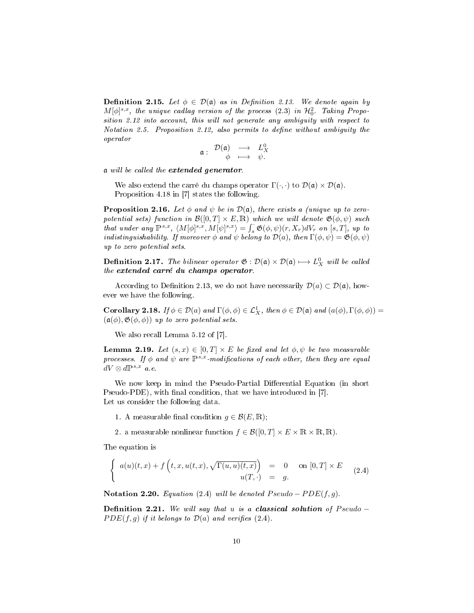**Definition 2.15.** Let  $\phi \in \mathcal{D}(\mathfrak{a})$  as in Definition 2.13. We denote again by  $M[\phi]^{s,x}$ , the unique cadlag version of the process (2.3) in  $\mathcal{H}^2_0$ . Taking Proposition 2.12 into account, this will not generate any ambiguity with respect to Notation 2.5. Proposition 2.12, also permits to define without ambiguity the operator

$$
\mathfrak{a}:\begin{array}{ccc}\mathcal{D}(\mathfrak{a})&\longrightarrow&L_X^0\\ \phi&\longmapsto&\psi.\end{array}
$$

a will be called the extended generator.

We also extend the carré du champs operator  $\Gamma(\cdot, \cdot)$  to  $\mathcal{D}(\mathfrak{a}) \times \mathcal{D}(\mathfrak{a})$ . Proposition 4.18 in [7] states the following.

**Proposition 2.16.** Let  $\phi$  and  $\psi$  be in  $\mathcal{D}(\mathfrak{a})$ , there exists a (unique up to zeropotential sets) function in  $\mathcal{B}([0,T] \times E, \mathbb{R})$  which we will denote  $\mathfrak{G}(\phi, \psi)$  such that under any  $\mathbb{P}^{s,x}, \langle M[\phi]^{s,x}, M[\psi]^{s,x}\rangle = \int_s^s \mathfrak{G}(\phi, \psi)(r, X_r)dV_r$  on  $[s, T]$ , up to indistinguishability. If moreover  $\phi$  and  $\psi$  belong to  $\mathcal{D}(a)$ , then  $\Gamma(\phi, \psi) = \mathfrak{G}(\phi, \psi)$ up to zero potential sets.

**Definition 2.17.** The bilinear operator  $\mathfrak{G} : \mathcal{D}(\mathfrak{a}) \times \mathcal{D}(\mathfrak{a}) \longmapsto L_X^0$  will be called the extended carré du champs operator.

According to Definition 2.13, we do not have necessarily  $\mathcal{D}(a) \subset \mathcal{D}(\mathfrak{a})$ , however we have the following.

**Corollary 2.18.** If  $\phi \in \mathcal{D}(a)$  and  $\Gamma(\phi, \phi) \in \mathcal{L}_X^1$ , then  $\phi \in \mathcal{D}(\mathfrak{a})$  and  $(a(\phi), \Gamma(\phi, \phi)) =$  $(a(\phi), \mathfrak{G}(\phi, \phi))$  up to zero potential sets.

We also recall Lemma 5.12 of [7].

**Lemma 2.19.** Let  $(s, x) \in [0, T] \times E$  be fixed and let  $\phi, \psi$  be two measurable processes. If  $\phi$  and  $\psi$  are  $\mathbb{P}^{s,x}$ -modifications of each other, then they are equal  $dV \otimes d\mathbb{P}^{s,x}$  a.e.

We now keep in mind the Pseudo-Partial Differential Equation (in short Pseudo-PDE), with final condition, that we have introduced in [7]. Let us consider the following data.

- 1. A measurable final condition  $g \in \mathcal{B}(E,\mathbb{R});$
- 2. a measurable nonlinear function  $f \in \mathcal{B}([0,T] \times E \times \mathbb{R} \times \mathbb{R}, \mathbb{R})$ .

The equation is

$$
\begin{cases}\n a(u)(t,x) + f\left(t,x,u(t,x),\sqrt{\Gamma(u,u)(t,x)}\right) & = 0 \quad \text{on } [0,T] \times E \\
 u(T,\cdot) & = g.\n\end{cases}
$$
\n(2.4)

Notation 2.20. Equation (2.4) will be denoted  $Pseudo - PDE(f, g)$ .

Definition 2.21. We will say that u is a classical solution of  $Pseudo PDE(f, g)$  if it belongs to  $\mathcal{D}(a)$  and verifies (2.4).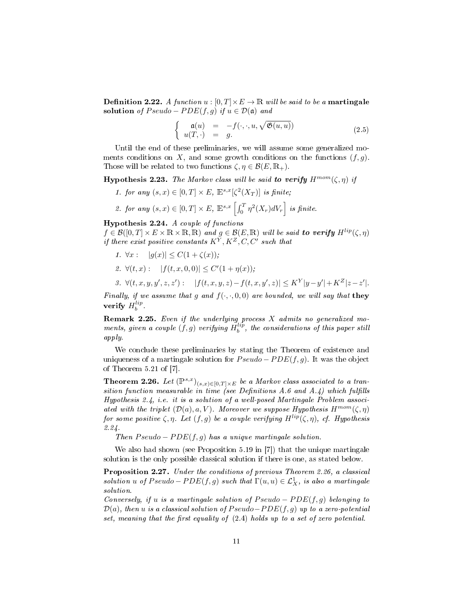**Definition 2.22.** A function  $u : [0, T] \times E \to \mathbb{R}$  will be said to be a **martingale** solution of  $Pseudo - PDE(f, g)$  if  $u \in \mathcal{D}(\mathfrak{a})$  and

$$
\begin{cases}\n\mathfrak{a}(u) = -f(\cdot, \cdot, u, \sqrt{\mathfrak{G}(u, u)}) \\
u(T, \cdot) = g.\n\end{cases}
$$
\n(2.5)

Until the end of these preliminaries, we will assume some generalized moments conditions on X, and some growth conditions on the functions  $(f, q)$ . Those will be related to two functions  $\zeta, \eta \in \mathcal{B}(E, \mathbb{R}_+).$ 

**Hypothesis 2.23.** The Markov class will be said to verify  $H^{mom}(\zeta, \eta)$  if

- 1. for any  $(s, x) \in [0, T] \times E$ ,  $\mathbb{E}^{s, x}[\zeta^2(X_T)]$  is finite;
- 2. for any  $(s, x) \in [0, T] \times E$ ,  $\mathbb{E}^{s,x} \left[ \int_0^T \eta^2(X_r) dV_r \right]$  is finite.

Hypothesis 2.24. A couple of functions

 $f \in \mathcal{B}([0,T] \times E \times \mathbb{R} \times \mathbb{R}, \mathbb{R})$  and  $g \in \mathcal{B}(E,\mathbb{R})$  will be said to verify  $H^{lip}(\zeta,\eta)$ if there exist positive constants  $K^Y, K^Z, C, C'$  such that

- 1.  $\forall x : |g(x)| \leq C(1 + \zeta(x));$
- 2.  $\forall (t, x) : |f(t, x, 0, 0)| \le C'(1 + \eta(x));$

$$
3. \ \forall (t,x,y,y',z,z'):\quad |f(t,x,y,z)-f(t,x,y',z)|\leq K^Y |y-y'|+K^Z |z-z'|.
$$

Finally, if we assume that g and  $f(\cdot, \cdot, 0, 0)$  are bounded, we will say that they verify  $H_b^{lip}$ .

**Remark 2.25.** Even if the underlying process  $X$  admits no generalized moments, given a couple  $(f, g)$  verifying  $H_b^{lip}$ , the considerations of this paper still apply.

We conclude these preliminaries by stating the Theorem of existence and uniqueness of a martingale solution for  $Pseudo - PDE(f, g)$ . It was the object of Theorem 5.21 of [7].

**Theorem 2.26.** Let  $(\mathbb{P}^{s,x})_{(s,x)\in[0,T]\times E}$  be a Markov class associated to a transition function measurable in time (see Definitions A.6 and A.4) which fulfills Hypothesis 2.4, i.e. it is a solution of a well-posed Martingale Problem associated with the triplet  $(\mathcal{D}(a), a, V)$ . Moreover we suppose Hypothesis  $H^{mom}(\zeta, \eta)$ for some positive  $\zeta$ ,  $\eta$ . Let  $(f, g)$  be a couple verifying  $H^{lip}(\zeta, \eta)$ , cf. Hypothesis 2.24.

Then  $Pseudo - PDE(f, g)$  has a unique martingale solution.

We also had shown (see Proposition 5.19 in [7]) that the unique martingale solution is the only possible classical solution if there is one, as stated below.

Proposition 2.27. Under the conditions of previous Theorem 2.26, a classical solution u of  $Pseudo-PDE(f, g)$  such that  $\Gamma(u, u) \in \mathcal{L}^1_X$ , is also a martingale solution.

Conversely, if u is a martingale solution of  $Pseudo - PDE(f, g)$  belonging to  $\mathcal{D}(a)$ , then u is a classical solution of Pseudo–PDE(f, g) up to a zero-potential set, meaning that the first equality of  $(2.4)$  holds up to a set of zero potential.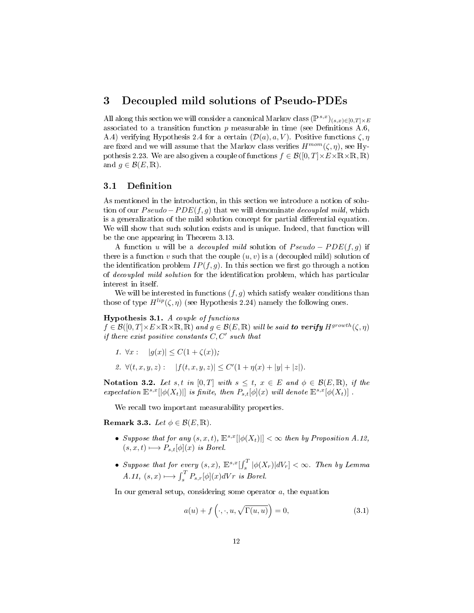### 3 Decoupled mild solutions of Pseudo-PDEs

All along this section we will consider a canonical Markov class  $(\mathbb{P}^{s,x})_{(s,x)\in[0,T]\times E}$ associated to a transition function  $p$  measurable in time (see Definitions A.6, A.4) verifying Hypothesis 2.4 for a certain  $(\mathcal{D}(a), a, V)$ . Positive functions  $\zeta, \eta$ are fixed and we will assume that the Markov class verifies  $H^{mom}(\zeta, \eta)$ , see Hypothesis 2.23. We are also given a couple of functions  $f \in \mathcal{B}([0,T] \times E \times \mathbb{R} \times \mathbb{R}, \mathbb{R})$ and  $g \in \mathcal{B}(E,\mathbb{R})$ .

#### 3.1 Definition

As mentioned in the introduction, in this section we introduce a notion of solution of our  $Pseudo - PDE(f, q)$  that we will denominate *decoupled mild*, which is a generalization of the mild solution concept for partial differential equation. We will show that such solution exists and is unique. Indeed, that function will be the one appearing in Theorem 3.13.

A function u will be a *decoupled mild* solution of  $Pseudo - PDE(f, g)$  if there is a function v such that the couple  $(u, v)$  is a (decoupled mild) solution of the identification problem  $IP(f, g)$ . In this section we first go through a notion of *decoupled mild solution* for the identification problem, which has particular interest in itself.

We will be interested in functions  $(f, g)$  which satisfy weaker conditions than those of type  $H^{lip}(\zeta, \eta)$  (see Hypothesis 2.24) namely the following ones.

Hypothesis 3.1. A couple of functions

 $f\in\mathcal{B}([0,T]\times E\times\mathbb{R}\times\mathbb{R},\mathbb{R})$  and  $g\in\mathcal{B}(E,\mathbb{R})$  will be said to verify  $H^{growth}(\zeta,\eta)$ if there exist positive constants  $C, C'$  such that

1.  $\forall x : |g(x)| \leq C(1 + \zeta(x));$ 

2. 
$$
\forall (t, x, y, z):
$$
  $|f(t, x, y, z)| \leq C'(1 + \eta(x) + |y| + |z|).$ 

Notation 3.2. Let s, t in [0, T] with  $s \leq t$ ,  $x \in E$  and  $\phi \in \mathcal{B}(E,\mathbb{R})$ , if the expectation  $\mathbb{E}^{s,x}[\phi(X_t)]]$  is finite, then  $P_{s,t}[\phi](x)$  will denote  $\mathbb{E}^{s,x}[\phi(X_t)]$ .

We recall two important measurability properties.

Remark 3.3. Let  $\phi \in \mathcal{B}(E,\mathbb{R})$ .

- Suppose that for any  $(s, x, t)$ ,  $\mathbb{E}^{s,x}[|\phi(X_t)|] < \infty$  then by Proposition A.12,  $(s, x, t) \longmapsto P_{s,t}[\phi](x)$  is Borel.
- Suppose that for every  $(s, x)$ ,  $\mathbb{E}^{s,x}[\int_s^T |\phi(X_r)|dV_r] < \infty$ . Then by Lemma  $A.11, (s, x) \longmapsto \int_s^T P_{s,r}[\phi](x)dVr$  is Borel.

In our general setup, considering some operator  $a$ , the equation

$$
a(u) + f\left(\cdot, \cdot, u, \sqrt{\Gamma(u, u)}\right) = 0,\tag{3.1}
$$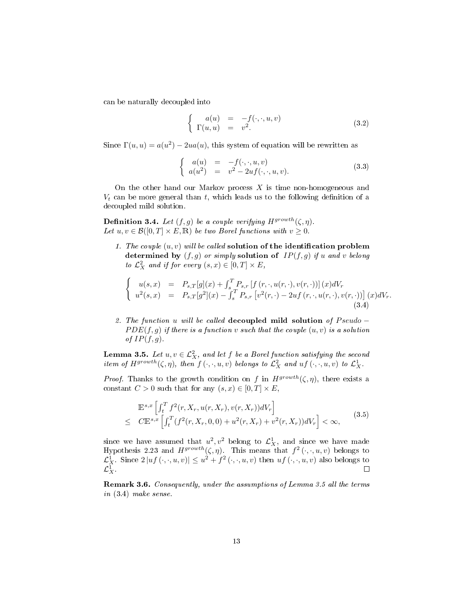can be naturally decoupled into

$$
\begin{cases}\n a(u) = -f(\cdot, \cdot, u, v) \\
 \Gamma(u, u) = v^2.\n\end{cases}
$$
\n(3.2)

Since  $\Gamma(u, u) = a(u^2) - 2ua(u)$ , this system of equation will be rewritten as

$$
\begin{cases}\n a(u) = -f(\cdot, \cdot, u, v) \\
 a(u^2) = v^2 - 2uf(\cdot, \cdot, u, v).\n\end{cases}
$$
\n(3.3)

On the other hand our Markov process  $X$  is time non-homogeneous and  $V_t$  can be more general than t, which leads us to the following definition of a decoupled mild solution.

**Definition 3.4.** Let  $(f, g)$  be a couple verifying  $H^{growth}(\zeta, \eta)$ . Let  $u, v \in \mathcal{B}([0,T] \times E, \mathbb{R})$  be two Borel functions with  $v \geq 0$ .

1. The couple  $(u, v)$  will be called solution of the identification problem determined by  $(f, g)$  or simply solution of  $IP(f, g)$  if u and v belong to  $\mathcal{L}_X^2$  and if for every  $(s, x) \in [0, T] \times E$ ,

$$
\begin{cases}\nu(s,x) = P_{s,T}[g](x) + \int_s^T P_{s,r}[f(r,\cdot,u(r,\cdot),v(r,\cdot))](x)dV_r \\
u^2(s,x) = P_{s,T}[g^2](x) - \int_s^T P_{s,r}[v^2(r,\cdot) - 2uf(r,\cdot,u(r,\cdot),v(r,\cdot))] (x)dV_r.\n\end{cases}
$$
\n(3.4)

2. The function u will be called decoupled mild solution of  $Pseudo PDE(f, g)$  if there is a function v such that the couple  $(u, v)$  is a solution of  $IP(f,g)$ .

**Lemma 3.5.** Let  $u, v \in \mathcal{L}_X^2$ , and let f be a Borel function satisfying the second item of  $H^{growth}(\zeta, \eta)$ , then  $f(\cdot, \cdot, u, v)$  belongs to  $\mathcal{L}^2_X$  and  $uf(\cdot, \cdot, u, v)$  to  $\mathcal{L}^1_X$ .

*Proof.* Thanks to the growth condition on f in  $H^{growth}(\zeta, \eta)$ , there exists a constant  $C > 0$  such that for any  $(s, x) \in [0, T] \times E$ ,

$$
\mathbb{E}^{s,x} \left[ \int_t^T f^2(r, X_r, u(r, X_r), v(r, X_r)) dV_r \right] \leq C \mathbb{E}^{s,x} \left[ \int_t^T (f^2(r, X_r, 0, 0) + u^2(r, X_r) + v^2(r, X_r)) dV_r \right] < \infty,
$$
\n(3.5)

since we have assumed that  $u^2, v^2$  belong to  $\mathcal{L}^1_X$ , and since we have made Hypothesis 2.23 and  $H^{growth}(\zeta, \eta)$ . This means that  $f^2(\cdot, \cdot, u, v)$  belongs to  $\mathcal{L}_X^1$ . Since  $2|uf(\cdot,\cdot,u,v)| \leq u^2 + f^2(\cdot,\cdot,u,v)$  then  $uf(\cdot,\cdot,u,v)$  also belongs to  $\mathcal{L}^1_X$  .  $\Box$ 

Remark 3.6. Consequently, under the assumptions of Lemma 3.5 all the terms in (3.4) make sense.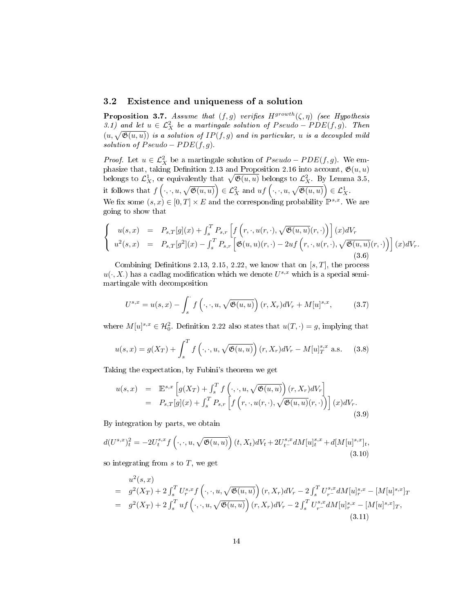#### 3.2 Existence and uniqueness of a solution

**Proposition 3.7.** Assume that  $(f, g)$  verifies  $H^{growth}(\zeta, \eta)$  (see Hypothesis 3.1) and let  $u \in \mathcal{L}_X^2$  be a martingale solution of Pseudo – PDE(f, g). Then  $(u, \sqrt{\mathfrak{G}(u, u)})$  is a solution of  $IP(f, g)$  and in particular, u is a decoupled mild solution of  $Pseudo - PDE(f, g)$ .

*Proof.* Let  $u \in \mathcal{L}_X^2$  be a martingale solution of  $Pseudo - PDE(f, g)$ . We emphasize that, taking Definition 2.13 and Proposition 2.16 into account,  $\mathfrak{G}(u, u)$ belongs to  $\mathcal{L}^1_X$ , or equivalently that  $\sqrt{\mathfrak{G}(u, u)}$  belongs to  $\mathcal{L}^2_X$ . By Lemma 3.5, it follows that  $f\left(\cdot,\cdot,u,\sqrt{\mathfrak{G}(u,u)}\right)\in\mathcal{L}_X^2$  and  $uf\left(\cdot,\cdot,u,\sqrt{\mathfrak{G}(u,u)}\right)\in\mathcal{L}_X^1$ . We fix some  $(s, x) \in [0, T] \times E$  and the corresponding probability  $\mathbb{P}^{s,x}$ . We are going to show that

$$
\begin{cases}\nu(s,x) = P_{s,T}[g](x) + \int_s^T P_{s,r}\left[f\left(r,\cdot,u(r,\cdot),\sqrt{\mathfrak{G}(u,u)}(r,\cdot)\right)\right](x)dV_r \\
u^2(s,x) = P_{s,T}[g^2](x) - \int_s^T P_{s,r}\left[\mathfrak{G}(u,u)(r,\cdot) - 2uf\left(r,\cdot,u(r,\cdot),\sqrt{\mathfrak{G}(u,u)}(r,\cdot)\right)\right](x)dV_r.\n\end{cases}
$$
\n(3.6)

Combining Definitions 2.13, 2.15, 2.22, we know that on  $[s, T]$ , the process  $u(\cdot, X)$  has a cadlag modification which we denote  $U^{s,x}$  which is a special semimartingale with decomposition

$$
U^{s,x} = u(s,x) - \int_s^{\cdot} f\left(\cdot, \cdot, u, \sqrt{\mathfrak{G}(u,u)}\right)(r, X_r)dV_r + M[u]^{s,x},\tag{3.7}
$$

where  $M[u]^{s,x} \in \mathcal{H}_0^2$ . Definition 2.22 also states that  $u(T, \cdot) = g$ , implying that

$$
u(s,x) = g(X_T) + \int_s^T f\left(\cdot, \cdot, u, \sqrt{\mathfrak{G}(u,u)}\right)(r, X_r)dV_r - M[u]_T^{s,x} \text{ a.s.} \tag{3.8}
$$

Taking the expectation, by Fubini's theorem we get

$$
u(s,x) = \mathbb{E}^{s,x} \left[ g(X_T) + \int_s^T f\left(\cdot, \cdot, u, \sqrt{\mathfrak{G}(u,u)}\right)(r, X_r) dV_r \right]
$$
  
=  $P_{s,T}[g](x) + \int_s^T P_{s,r} \left[ f\left(r, \cdot, u(r, \cdot), \sqrt{\mathfrak{G}(u,u)}(r, \cdot)\right) \right](x) dV_r.$  (3.9)

By integration by parts, we obtain

$$
d(U^{s,x})_t^2 = -2U_t^{s,x} f\left(\cdot, \cdot, u, \sqrt{\mathfrak{G}(u, u)}\right)(t, X_t) dV_t + 2U_{t^-}^{s,x} dM[u]_t^{s,x} + d[M[u]_t^{s,x}]_t,
$$
\n(3.10)

so integrating from  $s$  to  $T$ , we get

$$
u^{2}(s,x) = g^{2}(X_{T}) + 2\int_{s}^{T} U_{r}^{s,x} f(\cdot, \cdot, u, \sqrt{\mathfrak{G}(u, u)}) (r, X_{r}) dV_{r} - 2\int_{s}^{T} U_{r}^{s,x} dM[u]_{r}^{s,x} - [M[u]^{s,x}]_{T}
$$
  
=  $g^{2}(X_{T}) + 2\int_{s}^{T} uf(\cdot, \cdot, u, \sqrt{\mathfrak{G}(u, u)}) (r, X_{r}) dV_{r} - 2\int_{s}^{T} U_{r}^{s,x} dM[u]_{r}^{s,x} - [M[u]^{s,x}]_{T},$   
(3.11)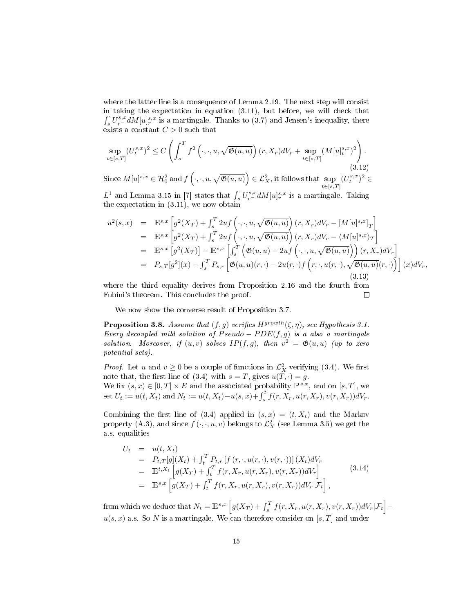where the latter line is a consequence of Lemma 2.19. The next step will consist in taking the expectation in equation (3.11), but before, we will check that  $\int_s^{\cdot} U_{r-}^{s,x} dM[u]_{r}^{s,x}$  is a martingale. Thanks to (3.7) and Jensen's inequality, there exists a constant  $C > 0$  such that

$$
\sup_{t \in [s,T]} (U_t^{s,x})^2 \le C \left( \int_s^T f^2 \left( \cdot, \cdot, u, \sqrt{\mathfrak{G}(u,u)} \right) (r, X_r) dV_r + \sup_{t \in [s,T]} (M[u]_t^{s,x})^2 \right). \tag{3.12}
$$

Since  $M[u]^{s,x} \in \mathcal{H}_0^2$  and  $f\left(\cdot,\cdot,u,\sqrt{\mathfrak{G}(u,u)}\right) \in \mathcal{L}_X^2$ , it follows that  $\sup_{t \in [s,T]}$  $(U_t^{s,x})^2 \in$ 

 $L^1$  and Lemma 3.15 in [7] states that  $\int_s^{\cdot} U_r^{s,x} dM[u]_r^{s,x}$  is a martingale. Taking the expectation in (3.11), we now obtain

$$
u^{2}(s,x) = \mathbb{E}^{s,x} \left[ g^{2}(X_{T}) + \int_{s}^{T} 2uf \left( \cdot, \cdot, u, \sqrt{\mathfrak{G}(u, u)} \right) (r, X_{r}) dV_{r} - [M[u]^{s,x}]_{T} \right]
$$
  
\n
$$
= \mathbb{E}^{s,x} \left[ g^{2}(X_{T}) + \int_{s}^{T} 2uf \left( \cdot, \cdot, u, \sqrt{\mathfrak{G}(u, u)} \right) (r, X_{r}) dV_{r} - \langle M[u]^{s,x} \rangle_{T} \right]
$$
  
\n
$$
= \mathbb{E}^{s,x} \left[ g^{2}(X_{T}) \right] - \mathbb{E}^{s,x} \left[ \int_{s}^{T} \left( \mathfrak{G}(u, u) - 2uf \left( \cdot, \cdot, u, \sqrt{\mathfrak{G}(u, u)} \right) \right) (r, X_{r}) dV_{r} \right]
$$
  
\n
$$
= P_{s,T}[g^{2}](x) - \int_{s}^{T} P_{s,r} \left[ \mathfrak{G}(u, u)(r, \cdot) - 2u(r, \cdot) f \left( r, \cdot, u(r, \cdot), \sqrt{\mathfrak{G}(u, u)}(r, \cdot) \right) \right] (x) dV_{r},
$$
  
\n(3.13)

where the third equality derives from Proposition 2.16 and the fourth from Fubini's theorem. This concludes the proof.  $\Box$ 

We now show the converse result of Proposition 3.7.

**Proposition 3.8.** Assume that  $(f, g)$  verifies  $H^{growth}(\zeta, \eta)$ , see Hypothesis 3.1. Every decoupled mild solution of  $Pseudo - PDE(f, g)$  is a also a martingale solution. Moreover, if  $(u, v)$  solves  $IP(f, g)$ , then  $v^2 = \mathfrak{G}(u, u)$  (up to zero potential sets).

*Proof.* Let u and  $v \ge 0$  be a couple of functions in  $\mathcal{L}_X^2$  verifying (3.4). We first note that, the first line of (3.4) with  $s = T$ , gives  $u(T, \cdot) = g$ . We fix  $(s, x) \in [0, T] \times E$  and the associated probability  $\mathbb{P}^{s,x}$ , and on  $[s, T]$ , we set  $U_t := u(t, X_t)$  and  $N_t := u(t, X_t) - u(s, x) + \int_s^t f(r, X_r, u(r, X_r), v(r, X_r)) dV_r$ .

Combining the first line of (3.4) applied in  $(s, x) = (t, X_t)$  and the Markov property (A.3), and since  $f(\cdot, \cdot, u, v)$  belongs to  $\mathcal{L}^2_X$  (see Lemma 3.5) we get the a.s. equalities

$$
U_t = u(t, X_t)
$$
  
\n
$$
= P_{t,T}[g](X_t) + \int_t^T P_{t,r}[f(r, \cdot, u(r, \cdot), v(r, \cdot))](X_t)dV_r
$$
  
\n
$$
= \mathbb{E}^{t, X_t} \left[ g(X_T) + \int_t^T f(r, X_r, u(r, X_r), v(r, X_r))dV_r \right]
$$
  
\n
$$
= \mathbb{E}^{s,x} \left[ g(X_T) + \int_t^T f(r, X_r, u(r, X_r), v(r, X_r))dV_r|\mathcal{F}_t \right],
$$
\n(3.14)

from which we deduce that  $N_t = \mathbb{E}^{s,x} \left[ g(X_T) + \int_s^T f(r,X_r,u(r,X_r),v(r,X_r)) dV_r | \mathcal{F}_t \right]$  $u(s, x)$  a.s. So N is a martingale. We can therefore consider on [s, T] and under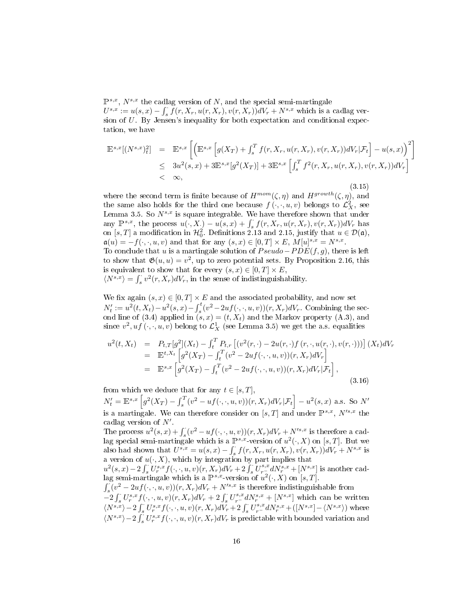$\mathbb{P}^{s,x}$ ,  $N^{s,x}$  the cadlag version of N, and the special semi-martingale  $U^{s,x} := u(s,x) - \int_s^{\cdot} \check{f}(r,X_r,u(r,X_r),v(r,X_r))dV_r + N^{s,x}$  which is a cadlag version of  $U$ . By Jensen's inequality for both expectation and conditional expectation, we have

$$
\mathbb{E}^{s,x}[(N^{s,x})_t^2] = \mathbb{E}^{s,x} \left[ \left( \mathbb{E}^{s,x} \left[ g(X_T) + \int_s^T f(r, X_r, u(r, X_r), v(r, X_r)) dV_r | \mathcal{F}_t \right] - u(s, x) \right)^2 \right] \n\leq 3u^2(s,x) + 3\mathbb{E}^{s,x} [g^2(X_T)] + 3\mathbb{E}^{s,x} \left[ \int_s^T f^2(r, X_r, u(r, X_r), v(r, X_r)) dV_r \right] \n< \infty,
$$
\n(3.15)

where the second term is finite because of  $H^{mom}(\zeta, \eta)$  and  $H^{growth}(\zeta, \eta)$ , and the same also holds for the third one because  $f(\cdot, \cdot, u, v)$  belongs to  $\mathcal{L}_X^2$ , see Lemma 3.5. So  $N^{s,x}$  is square integrable. We have therefore shown that under any  $\mathbb{P}^{s,x}$ , the process  $u(\cdot, X) - u(s,x) + \int_s^s f(r, X_r, u(r, X_r), v(r, X_r)) dV_r$  has on [s, T] a modification in  $\mathcal{H}^2_0$ . Definitions 2.13 and 2.15, justify that  $u \in \mathcal{D}(\mathfrak{a})$ ,  $a(u) = -f(\cdot, \cdot, u, v)$  and that for any  $(s, x) \in [0, T] \times E$ ,  $M[u]^{s,x} = N^{s,x}$ . To conclude that u is a martingale solution of  $Pseudo-PDE(f, g)$ , there is left to show that  $\mathfrak{G}(u, u) = v^2$ , up to zero potential sets. By Proposition 2.16, this is equivalent to show that for every  $(s, x) \in [0, T] \times E$ ,  $\langle N^{s,x} \rangle = \int_s^{\cdot} v^2(r,X_r)dV_r$ , in the sense of indistinguishability.

We fix again  $(s, x) \in [0, T] \times E$  and the associated probability, and now set  $N'_t := u^2(t, X_t) - u^2(s, x) - \int_s^t (v^2 - 2uf(\cdot, \cdot, u, v))(r, X_r) dV_r$ . Combining the second line of (3.4) applied in  $(s, x) = (t, X_t)$  and the Markov property (A.3), and since  $v^2, uf\left(\cdot, \cdot, u, v\right)$  belong to  $\mathcal{L}^1_X$  (see Lemma 3.5) we get the a.s. equalities

$$
u^{2}(t, X_{t}) = P_{t,T}[g^{2}](X_{t}) - \int_{t}^{T} P_{t,r} [(v^{2}(r, \cdot) - 2u(r, \cdot)f(r, \cdot, u(r, \cdot), v(r, \cdot)))] (X_{t})dV_{r}
$$
  
\n
$$
= \mathbb{E}^{t, X_{t}} \left[ g^{2}(X_{T}) - \int_{t}^{T} (v^{2} - 2uf(\cdot, \cdot, u, v))(r, X_{r})dV_{r} \right]
$$
  
\n
$$
= \mathbb{E}^{s, x} \left[ g^{2}(X_{T}) - \int_{t}^{T} (v^{2} - 2uf(\cdot, \cdot, u, v))(r, X_{r})dV_{r} | \mathcal{F}_{t} \right],
$$
\n(3.16)

from which we deduce that for any  $t \in [s, T]$ ,  $N'_t = \mathbb{E}^{s,x} \left[g^2(X_T) - \int_s^T (v^2 - uf(\cdot, \cdot, u, v))(r, X_r) dV_r | \mathcal{F}_t\right] - u^2(s, x)$  a.s. So  $N'$ 

is a martingale. We can therefore consider on  $[s, T]$  and under  $\mathbb{P}^{s,x}$ ,  $N'^{s,x}$  the cadlag version of  $N'$ .

The process  $u^2(s,x)+\int_{s}^{s}(v^2-uf(\cdot,\cdot,u,v))(r,X_r)dV_r+N^{s,x}$  is therefore a cad-The process  $u(s, x) + f_s(v - u_s(v, x, v))(t, x, y)w_r + iv$  is entered a cad-<br>lag special semi-martingale which is a  $\mathbb{P}^{s,x}$ -version of  $u^2(\cdot, X)$  on [s, T]. But we also had shown that  $U^{s,x} = u(s,x) - \int_s^{\cdot} f(r, X_r, u(r, X_r), v(r, X_r)) dV_r + N^{s,x}$  is a version of  $u(\cdot, X)$ , which by integration by part implies that  $u^2(s,x) - 2 \int_s^s U_r^{s,x} f(\cdot,\cdot,u,v)(r,X_r) dV_r + 2 \int_s^s U_{r-s}^{s,x} dN_r^{s,x} + [N^{s,x}]$  is another cad-

lag semi-martingale which is a  $\mathbb{P}^{s,x}$ -version of  $u^2(\cdot,X)$  on  $[s,T]$ .

 $\int_{s}^{S}(v^2 - 2uf(\cdot,\cdot,u,v))(r,X_r)dV_r + N'^{s,x}$  is therefore indistinguishable from  $-2\int_s^s U_r^{s,x}f(\cdot,\cdot,u,v)(r,X_r)dV_r+2\int_s^s U_r^{s,x}dN_r^{s,x}+[N^{s,x}]$  which can be written  $\langle N^{s,x}\rangle - 2\int_s^{\cdot} U^{s,x}_r f(\cdot,\cdot,u,v)(r,X_r)d\overset{\circ}{V_r} + 2\int_s^{\cdot} U^{s,x}_{r-}dN^{s,x}_r + ([N^{s,x}]-\langle N^{s,x}\rangle)$  where  $\langle N^{s,x}\rangle - 2\int_s^s U_r^{s,x}f(\cdot,\cdot,u,v)(r,X_r)dV_r$  is predictable with bounded variation and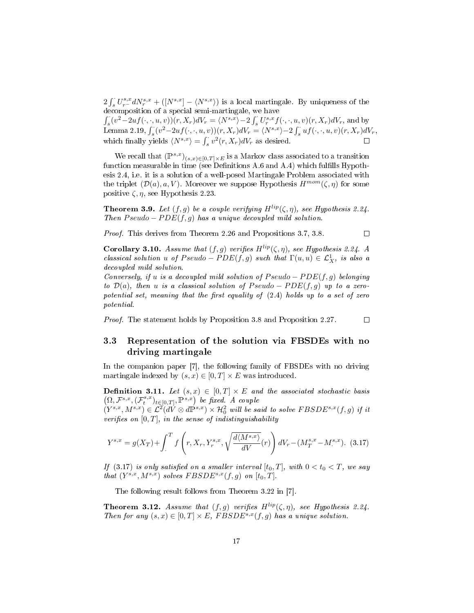$2\int_s^{\cdot} U^{s,x}_{r-} dN^{s,x}_{r} + ([N^{s,x}] - \langle N^{s,x} \rangle)$  is a local martingale. By uniqueness of the decomposition of a special semi-martingale, we have

 $\int_{s} (v^2 - 2uf(\cdot, \cdot, u, v))(r, X_r)dV_r = \langle N^{s,x} \rangle - 2\int_{s} U^{s,x}_r f(\cdot, \cdot, u, v)(r, X_r)dV_r$ , and by Lemma 2.19,  $\int_s^s (v^2-2uf(\cdot,\cdot,u,v))(r,X_r)dV_r = \langle N^{s,x}\rangle - 2\int_s^s uf(\cdot,\cdot,u,v)(r,X_r)dV_r$ , which finally yields  $\langle N^{s,x} \rangle = \int_s^{\cdot} v^2(r,X_r)dV_r$  as desired.

We recall that  $(\mathbb{P}^{s,x})_{(s,x)\in[0,T]\times E}$  is a Markov class associated to a transition function measurable in time (see Definitions A.6 and A.4) which fulfills Hypothesis 2.4, i.e. it is a solution of a well-posed Martingale Problem associated with the triplet  $(\mathcal{D}(a), a, V)$ . Moreover we suppose Hypothesis  $H^{mom}(\zeta, \eta)$  for some positive  $\zeta$ ,  $\eta$ , see Hypothesis 2.23.

**Theorem 3.9.** Let  $(f, g)$  be a couple verifying  $H^{lip}(\zeta, \eta)$ , see Hypothesis 2.24. Then  $Pseudo - PDE(f, q)$  has a unique decoupled mild solution.

 $\Box$ 

Proof. This derives from Theorem 2.26 and Propositions 3.7, 3.8.

Corollary 3.10. Assume that  $(f, g)$  verifies  $H^{lip}(\zeta, \eta)$ , see Hypothesis 2.24. A classical solution u of  $Pseudo - PDE(f, g)$  such that  $\Gamma(u, u) \in \mathcal{L}^1_X$ , is also a decoupled mild solution.

Conversely, if u is a decoupled mild solution of  $Pseudo - PDE(f, g)$  belonging to  $\mathcal{D}(a)$ , then u is a classical solution of Pseudo – PDE(f, q) up to a zeropotential set, meaning that the first equality of  $(2.4)$  holds up to a set of zero potential.

Proof. The statement holds by Proposition 3.8 and Proposition 2.27.  $\Box$ 

#### 3.3 Representation of the solution via FBSDEs with no driving martingale

In the companion paper [7], the following family of FBSDEs with no driving martingale indexed by  $(s, x) \in [0, T] \times E$  was introduced.

**Definition 3.11.** Let  $(s, x) \in [0, T] \times E$  and the associated stochastic basis  $(\Omega, \mathcal{F}^{s,x}, (\mathcal{F}^{s,x}_t)_{t\in[0,T]}, \mathbb{P}^{s,x})$  be fixed. A couple

 $(Y^{s,x},M^{s,x})\in\mathcal{L}^2(d\dot{V}\otimes d\dot{\mathbb{P}}^{s,x})\times\mathcal{H}^2_0$  will be said to solve  $FBSDE^{s,x}(f,g)$  if it verifies on  $[0, T]$ , in the sense of indistinguishability

$$
Y^{s,x} = g(X_T) + \int_{.}^{T} f\left(r, X_r, Y_r^{s,x}, \sqrt{\frac{d\langle M^{s,x} \rangle}{dV}}(r)\right) dV_r - (M_T^{s,x} - M^{s,x}). \tag{3.17}
$$

If (3.17) is only satisfied on a smaller interval  $[t_0, T]$ , with  $0 < t_0 < T$ , we say that  $(Y^{s,x}, M^{s,x})$  solves  $FBSDE^{s,x}(f,g)$  on  $[t_0, T]$ .

The following result follows from Theorem 3.22 in [7].

**Theorem 3.12.** Assume that  $(f, g)$  verifies  $H^{lip}(\zeta, \eta)$ , see Hypothesis 2.24. Then for any  $(s, x) \in [0, T] \times E$ , FBSDE<sup>s,x</sup>(f, g) has a unique solution.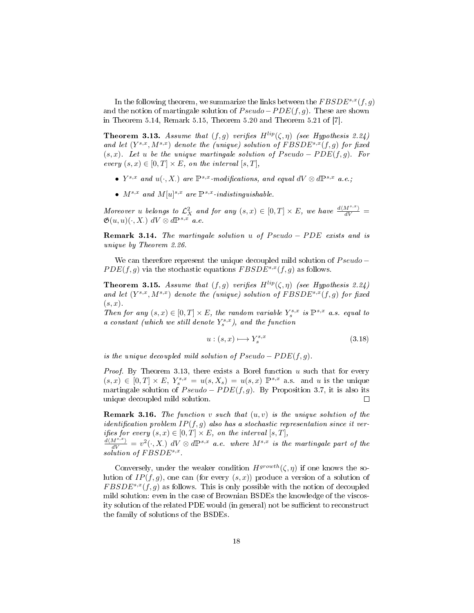In the following theorem, we summarize the links between the  $FBSDE^{s,x}(f, g)$ and the notion of martingale solution of  $Pseudo-PDE(f, g)$ . These are shown in Theorem 5.14, Remark 5.15, Theorem 5.20 and Theorem 5.21 of [7].

**Theorem 3.13.** Assume that  $(f, g)$  verifies  $H^{lip}(\zeta, \eta)$  (see Hypothesis 2.24) and let  $(Y^{s,x}, M^{s,x})$  denote the (unique) solution of  $FBSDE^{s,x}(f,g)$  for fixed  $(s, x)$ . Let u be the unique martingale solution of  $Pseudo - PDE(f, q)$ . For every  $(s, x) \in [0, T] \times E$ , on the interval  $[s, T]$ ,

- $Y^{s,x}$  and  $u(\cdot, X)$  are  $\mathbb{P}^{s,x}$ -modifications, and equal  $dV \otimes d\mathbb{P}^{s,x}$  a.e.;
- $M^{s,x}$  and  $M[u]^{s,x}$  are  $\mathbb{P}^{s,x}$ -indistinguishable.

Moreover u belongs to  $\mathcal{L}_X^2$  and for any  $(s,x) \in [0,T] \times E$ , we have  $\frac{d\langle M^{s,x} \rangle}{dV} =$  $\mathfrak{G}(u, u)(\cdot, X)$  dV  $\otimes$  dP<sup>s,x</sup> a.e.

**Remark 3.14.** The martingale solution u of Pseudo – PDE exists and is unique by Theorem 2.26.

We can therefore represent the unique decoupled mild solution of  $Pseudo PDE(f, g)$  via the stochastic equations  $FBSDE^{s,x}(f, g)$  as follows.

**Theorem 3.15.** Assume that  $(f, g)$  verifies  $H^{lip}(\zeta, \eta)$  (see Hypothesis 2.24) and let  $(Y^{s,x}, M^{s,x})$  denote the (unique) solution of  $FBSDE^{s,x}(f,g)$  for fixed  $(s, x)$ .

Then for any  $(s, x) \in [0, T] \times E$ , the random variable  $Y_s^{s,x}$  is  $\mathbb{P}^{s,x}$  a.s. equal to a constant (which we still denote  $Y_s^{s,x}$ ), and the function

$$
u: (s, x) \longmapsto Y_s^{s, x} \tag{3.18}
$$

is the unique decoupled mild solution of  $Pseudo - PDE(f, g)$ .

*Proof.* By Theorem 3.13, there exists a Borel function  $u$  such that for every  $(s, x) \in [0, T] \times E$ ,  $Y_s^{s,x} = u(s, X_s) = u(s, x) \mathbb{P}^{s,x}$  a.s. and u is the unique martingale solution of  $Pseudo - PDE(f, q)$ . By Proposition 3.7, it is also its unique decoupled mild solution.  $\Box$ 

**Remark 3.16.** The function v such that  $(u, v)$  is the unique solution of the identification problem  $IP(f, g)$  also has a stochastic representation since it verifies for every  $(s, x) \in [0, T] \times E$ , on the interval  $[s, T]$ ,

 $\frac{d\langle M^{s,x}\rangle}{dV}=v^2(\cdot,X_+)$   $dV\otimes d\mathbb{P}^{s,x}$  a.e. where  $M^{s,x}$  is the martingale part of the  $solution$  of  $FBSDE^{s,x}$ .

Conversely, under the weaker condition  $H^{growth}(\zeta, \eta)$  if one knows the solution of  $IP(f, q)$ , one can (for every  $(s, x)$ ) produce a version of a solution of  $FBSDE^{s,x}(f,g)$  as follows. This is only possible with the notion of decoupled mild solution: even in the case of Brownian BSDEs the knowledge of the viscosity solution of the related PDE would (in general) not be sufficient to reconstruct the family of solutions of the BSDEs.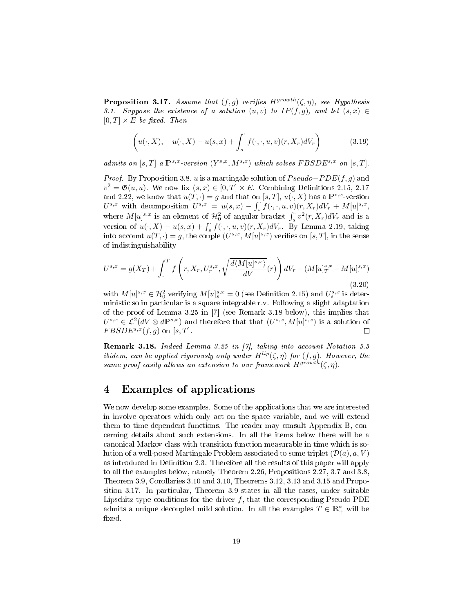**Proposition 3.17.** Assume that  $(f, g)$  verifies  $H^{growth}(\zeta, \eta)$ , see Hypothesis 3.1. Suppose the existence of a solution  $(u, v)$  to  $IP(f, g)$ , and let  $(s, x) \in$  $[0, T] \times E$  be fixed. Then

$$
\left(u(\cdot, X), \quad u(\cdot, X) - u(s, x) + \int_s^{\cdot} f(\cdot, \cdot, u, v)(r, X_r) dV_r\right) \tag{3.19}
$$

admits on  $[s, T]$  a  $\mathbb{P}^{s,x}$ -version  $(Y^{s,x}, M^{s,x})$  which solves  $FBSDE^{s,x}$  on  $[s, T]$ .

*Proof.* By Proposition 3.8, u is a martingale solution of  $Pseudo-PDE(f, g)$  and  $v^2 = \mathfrak{G}(u, u)$ . We now fix  $(s, x) \in [0, T] \times E$ . Combining Definitions 2.15, 2.17 and 2.22, we know that  $u(T, \cdot) = g$  and that on [s, T],  $u(\cdot, X)$  has a  $\mathbb{P}^{s,x}$ -version  $U^{s,x}$  with decomposition  $U^{s,x} = u(s,x) - \int_s^1 f(\cdot,\cdot,u,v)(r,X_r)dV_r + M[u]^{s,x}$ , where  $M[u]^{s,x}$  is an element of  $\mathcal{H}_0^2$  of angular bracket  $\int_s^{\cdot} v^2(r,X_r)dV_r$  and is a version of  $u(\cdot, X) - u(s, x) + \int_s^s f(\cdot, \cdot, u, v)(r, X_r) dV_r$ . By Lemma 2.19, taking into account  $u(T, \cdot) = g$ , the couple  $(U^{s,x}, M[u]^{s,x})$  verifies on [s, T], in the sense of indistinguishability

$$
U^{s,x} = g(X_T) + \int_{.}^{T} f\left(r, X_r, U_r^{s,x}, \sqrt{\frac{d\langle M[u]^{s,x}}{dV}}(r)\right) dV_r - (M[u]_T^{s,x} - M[u]_{.}^{s,x})
$$
\n(3.20)

with  $M[u]^{s,x} \in \mathcal{H}_0^2$  verifying  $M[u]^{s,x} = 0$  (see Definition 2.15) and  $U_s^{s,x}$  is deterministic so in particular is a square integrable r.v. Following a slight adaptation of the proof of Lemma 3.25 in [7] (see Remark 3.18 below), this implies that  $U^{s,x} \in \mathcal{L}^2(dV \otimes d\mathbb{P}^{s,x})$  and therefore that that  $(U^{s,x}, M[u]^{s,x})$  is a solution of  $FBSDE^{s,x}(f,g)$  on [s, T].  $\Box$ 

Remark 3.18. Indeed Lemma 3.25 in [7], taking into account Notation 5.5 ibidem, can be applied rigorously only under  $H^{lip}(\zeta, \eta)$  for  $(f, g)$ . However, the same proof easily allows an extension to our framework  $H^{growth}(\zeta, \eta)$ .

# 4 Examples of applications

We now develop some examples. Some of the applications that we are interested in involve operators which only act on the space variable, and we will extend them to time-dependent functions. The reader may consult Appendix B, concerning details about such extensions. In all the items below there will be a canonical Markov class with transition function measurable in time which is solution of a well-posed Martingale Problem associated to some triplet  $(\mathcal{D}(a), a, V)$ as introduced in Definition 2.3. Therefore all the results of this paper will apply to all the examples below, namely Theorem 2.26, Propositions 2.27, 3.7 and 3.8, Theorem 3.9, Corollaries 3.10 and 3.10, Theorems 3.12, 3.13 and 3.15 and Proposition 3.17. In particular, Theorem 3.9 states in all the cases, under suitable Lipschitz type conditions for the driver  $f$ , that the corresponding Pseudo-PDE admits a unique decoupled mild solution. In all the examples  $T \in \mathbb{R}_+^*$  will be fixed.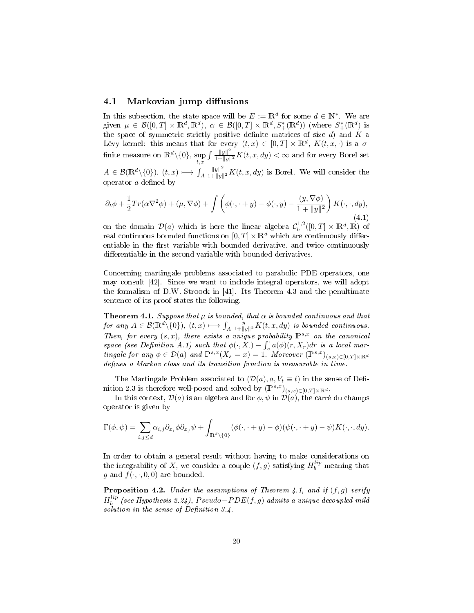#### 4.1 Markovian jump diffusions

In this subsection, the state space will be  $E := \mathbb{R}^d$  for some  $d \in \mathbb{N}^*$ . We are given  $\mu \in \mathcal{B}([0,T] \times \mathbb{R}^d, \mathbb{R}^d)$ ,  $\alpha \in \mathcal{B}([0,T] \times \mathbb{R}^d, S^*_+(\mathbb{R}^d))$  (where  $S^*_+(\mathbb{R}^d)$  is the space of symmetric strictly positive definite matrices of size  $d$ ) and  $K$  a Lévy kernel: this means that for every  $(t, x) \in [0, T] \times \mathbb{R}^d$ ,  $K(t, x, \cdot)$  is a  $\sigma$ finite measure on  $\mathbb{R}^d\backslash\{0\},\, \sup_{t,x}$  $\int \frac{\|y\|^2}{1+\|y\|^2} K(t, x, dy) < \infty$  and for every Borel set

 $A \in \mathcal{B}(\mathbb{R}^d \setminus \{0\}),\ (t,x) \longmapsto \int_A$  $\frac{\|y\|^2}{1+\|y\|^2}K(t, x, dy)$  is Borel. We will consider the operator  $a$  defined by

$$
\partial_t \phi + \frac{1}{2} Tr(\alpha \nabla^2 \phi) + (\mu, \nabla \phi) + \int \left( \phi(\cdot, \cdot + y) - \phi(\cdot, y) - \frac{(y, \nabla \phi)}{1 + ||y||^2} \right) K(\cdot, \cdot, dy),
$$
\n(4.1)

on the domain  $\mathcal{D}(a)$  which is here the linear algebra  $\mathcal{C}_b^{1,2}([0,T] \times \mathbb{R}^d, \mathbb{R})$  of real continuous bounded functions on  $[0, T] \times \mathbb{R}^d$  which are continuously differentiable in the first variable with bounded derivative, and twice continuously differentiable in the second variable with bounded derivatives.

Concerning martingale problems associated to parabolic PDE operators, one may consult [42]. Since we want to include integral operators, we will adopt the formalism of D.W. Stroock in [41]. Its Theorem 4.3 and the penultimate sentence of its proof states the following.

**Theorem 4.1.** Suppose that  $\mu$  is bounded, that  $\alpha$  is bounded continuous and that for any  $A \in \mathcal{B}(\mathbb{R}^d \setminus \{0\}), (t, x) \longmapsto \int_A \frac{y}{1 + ||y||^2} K(t, x, dy)$  is bounded continuous. Then, for every  $(s, x)$ , there exists a unique probability  $\mathbb{P}^{s,x}$  on the canonical space (see Definition A.1) such that  $\phi(\cdot, X) - \int_{S} a(\phi)(r, X_r) dr$  is a local marspace (see Definition 1.1) such that  $\varphi(\cdot, X, Y) = \int_s^s u(\varphi)(t, X, \varphi)dt$  is a total matrix  $\text{triangular}$  or any  $\varphi \in \mathcal{D}(a)$  and  $\mathbb{P}^{s,x}(X_s = x) = 1$ . Moreover  $(\mathbb{P}^{s,x})_{(s,x) \in [0,T] \times \mathbb{R}^d}$ defines a Markov class and its transition function is measurable in time.

The Martingale Problem associated to  $(\mathcal{D}(a), a, V_t \equiv t)$  in the sense of Definition 2.3 is therefore well-posed and solved by  $(\mathbb{P}^{s,x})_{(s,x)\in[0,T]\times\mathbb{R}^d}$ .

In this context,  $\mathcal{D}(a)$  is an algebra and for  $\phi$ ,  $\psi$  in  $\mathcal{D}(a)$ , the carré du champs operator is given by

$$
\Gamma(\phi,\psi) = \sum_{i,j\leq d} \alpha_{i,j} \partial_{x_i} \phi \partial_{x_j} \psi + \int_{\mathbb{R}^d \setminus \{0\}} (\phi(\cdot,\cdot+y) - \phi)(\psi(\cdot,\cdot+y) - \psi) K(\cdot,\cdot,dy).
$$

In order to obtain a general result without having to make considerations on the integrability of X, we consider a couple  $(f, g)$  satisfying  $H_b^{lip}$  meaning that g and  $f(\cdot, \cdot, 0, 0)$  are bounded.

**Proposition 4.2.** Under the assumptions of Theorem 4.1, and if  $(f, g)$  verify H lip b (see Hypothesis 2.24), P seudo−P DE(f, g) admits a unique decoupled mild solution in the sense of Definition  $3.4$ .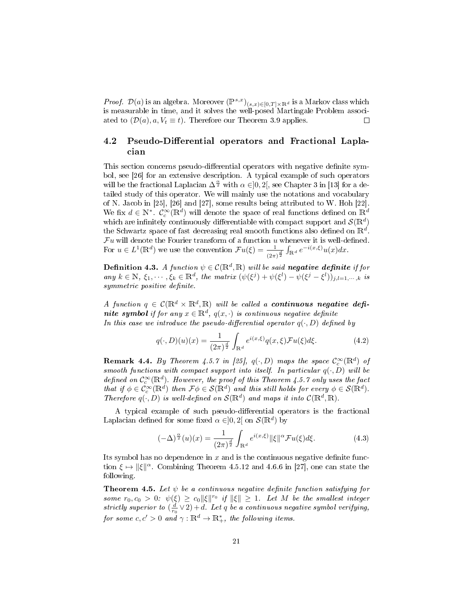*Proof.*  $\mathcal{D}(a)$  is an algebra. Moreover  $(\mathbb{P}^{s,x})_{(s,x)\in[0,T]\times\mathbb{R}^d}$  is a Markov class which is measurable in time, and it solves the well-posed Martingale Problem associated to  $(\mathcal{D}(a), a, V_t \equiv t)$ . Therefore our Theorem 3.9 applies.  $\Box$ 

#### 4.2 Pseudo-Differential operators and Fractional Laplacian

This section concerns pseudo-differential operators with negative definite symbol, see [26] for an extensive description. A typical example of such operators will be the fractional Laplacian  $\Delta^{\frac{\alpha}{2}}$  with  $\alpha \in ]0,2[$ , see Chapter 3 in [13] for a detailed study of this operator. We will mainly use the notations and vocabulary of N. Jacob in [25], [26] and [27], some results being attributed to W. Hoh [22]. We fix  $d \in \mathbb{N}^*$ .  $\mathcal{C}_c^{\infty}(\mathbb{R}^d)$  will denote the space of real functions defined on  $\mathbb{R}^d$ which are infinitely continuously differentiable with compact support and  $\mathcal{S}(\mathbb{R}^d)$ the Schwartz space of fast decreasing real smooth functions also defined on  $\mathbb{R}^d$ .  $\mathcal{F} u$  will denote the Fourier transform of a function  $u$  whenever it is well-defined. For  $u \in L^1(\mathbb{R}^d)$  we use the convention  $\mathcal{F}u(\xi) = \frac{1}{(2\pi)^{\frac{d}{2}}} \int_{\mathbb{R}^d} e^{-i(x,\xi)} u(x) dx$ .

**Definition 4.3.** A function  $\psi \in \mathcal{C}(\mathbb{R}^d, \mathbb{R})$  will be said negative definite if for any  $k \in \mathbb{N}$ ,  $\xi_1, \dots, \xi_k \in \mathbb{R}^d$ , the matrix  $(\psi(\xi^j) + \psi(\xi^l) - \psi(\xi^j - \xi^l))_{j,l=1,\dots,k}$  is symmetric positive definite.

A function  $q \in \mathcal{C}(\mathbb{R}^d \times \mathbb{R}^d, \mathbb{R})$  will be called a **continuous negative defi**nite symbol if for any  $x \in \mathbb{R}^d$ ,  $q(x, \cdot)$  is continuous negative definite In this case we introduce the pseudo-differential operator  $q(\cdot, D)$  defined by

$$
q(\cdot,D)(u)(x) = \frac{1}{(2\pi)^{\frac{d}{2}}} \int_{\mathbb{R}^d} e^{i(x,\xi)} q(x,\xi) \mathcal{F}u(\xi) d\xi.
$$
 (4.2)

**Remark 4.4.** By Theorem 4.5.7 in [25],  $q(\cdot, D)$  maps the space  $C_c^{\infty}(\mathbb{R}^d)$  of smooth functions with compact support into itself. In particular  $q(\cdot, D)$  will be defined on  $\mathcal{C}_c^{\infty}(\mathbb{R}^d)$ . However, the proof of this Theorem 4.5.7 only uses the fact that if  $\phi \in C_c^{\infty}(\mathbb{R}^d)$  then  $\mathcal{F}\phi \in \mathcal{S}(\mathbb{R}^d)$  and this still holds for every  $\phi \in \mathcal{S}(\mathbb{R}^d)$ . Therefore  $q(\cdot, D)$  is well-defined on  $\mathcal{S}(\mathbb{R}^d)$  and maps it into  $\mathcal{C}(\mathbb{R}^d, \mathbb{R})$ .

A typical example of such pseudo-differential operators is the fractional Laplacian defined for some fixed  $\alpha \in ]0,2[$  on  $\mathcal{S}(\mathbb{R}^d)$  by

$$
(-\Delta)^{\frac{\alpha}{2}}(u)(x) = \frac{1}{(2\pi)^{\frac{d}{2}}} \int_{\mathbb{R}^d} e^{i(x,\xi)} \|\xi\|^\alpha \mathcal{F} u(\xi) d\xi.
$$
 (4.3)

Its symbol has no dependence in  $x$  and is the continuous negative definite function  $\xi \mapsto ||\xi||^{\alpha}$ . Combining Theorem 4.5.12 and 4.6.6 in [27], one can state the following.

**Theorem 4.5.** Let  $\psi$  be a continuous negative definite function satisfying for some  $r_0, c_0 > 0$ :  $\psi(\xi) \geq c_0 \|\xi\|^{r_0}$  if  $\|\xi\| \geq 1$ . Let M be the smallest integer strictly superior to  $\left(\frac{d}{r_0}\vee 2\right)+d$ . Let q be a continuous negative symbol verifying, for some  $c,c^\prime > 0$  and  $\gamma: \mathbb{R}^d \to \mathbb{R}^*_+$ , the following items.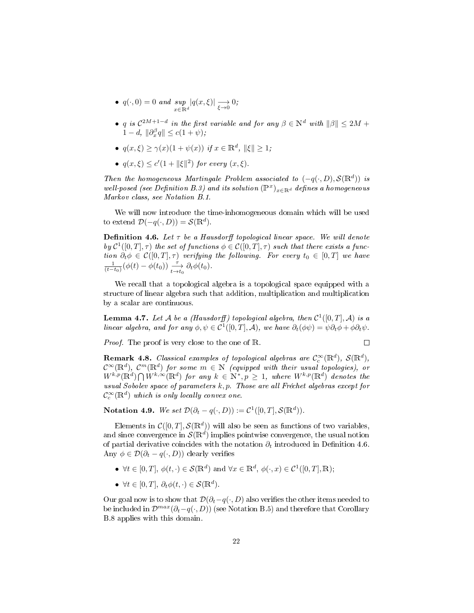- $\bullet$   $q(\cdot, 0) = 0$  and sup  $\sup_{x \in \mathbb{R}^d} |q(x,\xi)| \longrightarrow_{\xi \to 0} 0;$
- q is  $C^{2M+1-d}$  in the first variable and for any  $\beta \in \mathbb{N}^d$  with  $\|\beta\| \leq 2M +$  $1-d, \|\partial_x^{\beta}q\| \le c(1+\psi);$
- $q(x,\xi) \geq \gamma(x)(1+\psi(x))$  if  $x \in \mathbb{R}^d$ ,  $\|\xi\| \geq 1$ ;
- $q(x,\xi) \leq c'(1+\|\xi\|^2)$  for every  $(x,\xi)$ .

Then the homogeneous Martingale Problem associated to  $(-q(\cdot,D), S(\mathbb{R}^d))$  is well-posed (see Definition B.3) and its solution  $(\mathbb{P}^{x})_{x\in\mathbb{R}^{d}}$  defines a homogeneous Markov class, see Notation B.1.

We will now introduce the time-inhomogeneous domain which will be used to extend  $\mathcal{D}(-q(\cdot,D)) = \mathcal{S}(\mathbb{R}^d)$ .

**Definition 4.6.** Let  $\tau$  be a Hausdorff topological linear space. We will denote by  $\mathcal{C}^1([0,T],\tau)$  the set of functions  $\phi \in \mathcal{C}([0,T],\tau)$  such that there exists a function  $\partial_t \phi \in \mathcal{C}([0,T], \tau)$  verifying the following. For every  $t_0 \in [0,T]$  we have  $\frac{1}{(t-t_0)}(\phi(t)-\phi(t_0))\xrightarrow[t\to t_0]{\tau} \partial_t \phi(t_0).$ 

We recall that a topological algebra is a topological space equipped with a structure of linear algebra such that addition, multiplication and multiplication by a scalar are continuous.

**Lemma 4.7.** Let A be a (Hausdorff) topological algebra, then  $C^1([0,T], \mathcal{A})$  is a linear algebra, and for any  $\phi, \psi \in C^1([0,T], \mathcal{A})$ , we have  $\partial_t(\phi \psi) = \psi \partial_t \phi + \phi \partial_t \psi$ .

*Proof.* The proof is very close to the one of R.

 $\Box$ 

**Remark 4.8.** Classical examples of topological algebras are  $C_c^{\infty}(\mathbb{R}^d)$ ,  $\mathcal{S}(\mathbb{R}^d)$ ,  $\mathcal{C}^{\infty}(\mathbb{R}^{d}), \; \mathcal{C}^{m}(\mathbb{R}^{d})$  for some  $m \in \mathbb{N}$  (equipped with their usual topologies), or  $W^{k,p}(\mathbb{R}^d) \bigcap W^{k,\infty}(\mathbb{R}^d)$  for any  $k \in \mathbb{N}^*, p \geq 1$ , where  $W^{k,p}(\mathbb{R}^d)$  denotes the usual Sobolev space of parameters  $k, p$ . Those are all Fréchet algebras except for  $\mathcal{C}^\infty_c(\mathbb{R}^d)$  which is only locally convex one.

Notation 4.9. We set  $\mathcal{D}(\partial_t - q(\cdot, D)) := \mathcal{C}^1([0, T], \mathcal{S}(\mathbb{R}^d)).$ 

Elements in  $\mathcal{C}([0,T], \mathcal{S}(\mathbb{R}^d))$  will also be seen as functions of two variables, and since convergence in  $\mathcal{S}(\mathbb{R}^d)$  implies pointwise convergence, the usual notion of partial derivative coincides with the notation  $\partial_t$  introduced in Definition 4.6. Any  $\phi \in \mathcal{D}(\partial_t - q(\cdot, D))$  clearly verifies

- $\forall t \in [0, T], \, \phi(t, \cdot) \in \mathcal{S}(\mathbb{R}^d)$  and  $\forall x \in \mathbb{R}^d, \, \phi(\cdot, x) \in \mathcal{C}^1([0, T], \mathbb{R});$
- $\forall t \in [0, T], \, \partial_t \phi(t, \cdot) \in \mathcal{S}(\mathbb{R}^d).$

Our goal now is to show that  $\mathcal{D}(\partial_t-q(\cdot,D))$  also verifies the other items needed to be included in  $\mathcal{D}^{max}(\partial_t-q(\cdot,D))$  (see Notation B.5) and therefore that Corollary B.8 applies with this domain.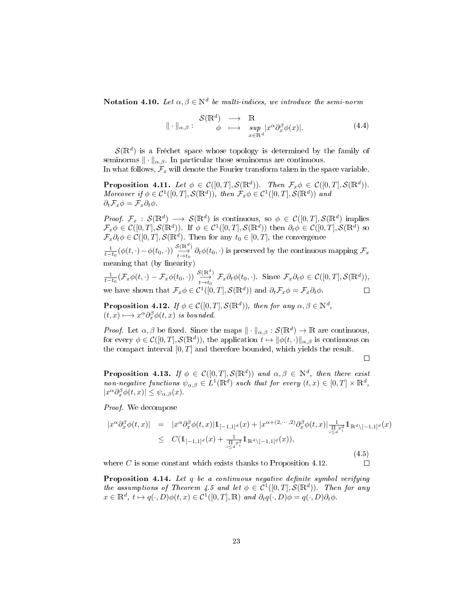**Notation 4.10.** Let  $\alpha, \beta \in \mathbb{N}^d$  be multi-indices, we introduce the semi-norm

$$
\| \cdot \|_{\alpha,\beta} : \begin{array}{ccc} \mathcal{S}(\mathbb{R}^d) & \longrightarrow & \mathbb{R} \\ \phi & \longmapsto & \sup_{x \in \mathbb{R}^d} |x^\alpha \partial_x^\beta \phi(x)|. \end{array} \tag{4.4}
$$

 $\mathcal{S}(\mathbb{R}^d)$  is a Fréchet space whose topology is determined by the family of seminorms  $\|\cdot\|_{\alpha,\beta}$ . In particular those seminorms are continuous.

In what follows,  $\mathcal{F}_x$  will denote the Fourier transform taken in the space variable.

**Proposition 4.11.** Let  $\phi \in C([0,T], \mathcal{S}(\mathbb{R}^d))$ . Then  $\mathcal{F}_x \phi \in C([0,T], \mathcal{S}(\mathbb{R}^d))$ . Moreover if  $\phi \in C^1([0,T], \mathcal{S}(\mathbb{R}^d))$ , then  $\mathcal{F}_x \phi \in C^1([0,T], \mathcal{S}(\mathbb{R}^d))$  and  $\partial_t \mathcal{F}_x \phi = \mathcal{F}_x \partial_t \phi.$ 

*Proof.*  $\mathcal{F}_x$  :  $\mathcal{S}(\mathbb{R}^d) \longrightarrow \mathcal{S}(\mathbb{R}^d)$  is continuous, so  $\phi \in \mathcal{C}([0,T],\mathcal{S}(\mathbb{R}^d))$  implies  $\mathcal{F}_x\phi\in\mathcal{C}([0,T],\mathcal{S}(\mathbb{R}^d))$ . If  $\phi\in\mathcal{C}^1([0,T],\mathcal{S}(\mathbb{R}^d))$  then  $\partial_t\phi\in\mathcal{C}([0,T],\mathcal{S}(\mathbb{R}^d))$  so  $\mathcal{F}_x \partial_t \phi \in \mathcal{C}([0,T],\mathcal{S}(\mathbb{R}^d)$ . Then for any  $t_0 \in [0,T]$ , the convergence

 $\frac{1}{t-t_0}(\phi(t,\cdot)-\phi(t_0,\cdot))\overset{\mathcal{S}(\mathbb{R}^d)}{\longleftrightarrow}\partial_t\phi(t_0,\cdot)$  is preserved by the continuous mapping  $\mathcal{F}_x$ meaning that (by linearity)

 $\frac{1}{t-t_0}(\mathcal{F}_x\phi(t,\cdot)-\mathcal{F}_x\phi(t_0,\cdot))\xrightarrow[t\to t_0]{\mathcal{S}(\mathbb{R}^d)} \mathcal{F}_x\partial_t\phi(t_0,\cdot)$ . Since  $\mathcal{F}_x\partial_t\phi\in\mathcal{C}([0,T],\mathcal{S}(\mathbb{R}^d)),$ we have shown that  $\mathcal{F}_x \phi \in \mathcal{C}^1([0,T], \mathcal{S}(\mathbb{R}^d))$  and  $\partial_t \mathcal{F}_x \phi = \mathcal{F}_x \partial_t \phi$ .

**Proposition 4.12.** If  $\phi \in \mathcal{C}([0,T],\mathcal{S}(\mathbb{R}^d))$ , then for any  $\alpha, \beta \in \mathbb{N}^d$ ,  $(t, x) \longmapsto x^{\alpha} \partial_x^{\beta} \phi(t, x)$  is bounded.

*Proof.* Let  $\alpha, \beta$  be fixed. Since the maps  $\|\cdot\|_{\alpha,\beta} : \mathcal{S}(\mathbb{R}^d) \to \mathbb{R}$  are continuous, for every  $\phi \in \mathcal{C}([0,T],\mathcal{S}(\mathbb{R}^d))$ , the application  $t \mapsto ||\phi(t, \cdot)||_{\alpha,\beta}$  is continuous on the compact interval  $[0, T]$  and therefore bounded, which yields the result.

 $\Box$ 

 $\Box$ 

**Proposition 4.13.** If  $\phi \in C([0,T], \mathcal{S}(\mathbb{R}^d))$  and  $\alpha, \beta \in \mathbb{N}^d$ , then there exist non-negative functions  $\psi_{\alpha,\beta} \in L^1(\mathbb{R}^d)$  such that for every  $(t,x) \in [0,T] \times \mathbb{R}^d$ ,  $|x^{\alpha} \partial_x^{\beta} \phi(t,x)| \leq \psi_{\alpha,\beta}(x)$ .

Proof. We decompose

$$
|x^{\alpha}\partial_x^{\beta}\phi(t,x)| = |x^{\alpha}\partial_x^{\beta}\phi(t,x)|1_{[-1,1]^d}(x) + |x^{\alpha+(2,\cdots,2)}\partial_x^{\beta}\phi(t,x)|\frac{1}{\prod\limits_{i\leq d}x_i^2}1_{\mathbb{R}^d\setminus[-1,1]^d}(x)
$$
  
\n
$$
\leq C(1_{[-1,1]^d}(x) + \frac{1}{\prod\limits_{i\leq d}x_i^2}1_{\mathbb{R}^d\setminus[-1,1]^d}(x)),
$$
\n(4.5)

where  $C$  is some constant which exists thanks to Proposition 4.12.

**Proposition 4.14.** Let  $q$  be a continuous negative definite symbol verifying the assumptions of Theorem 4.5 and let  $\phi \in C^1([0,T], \mathcal{S}(\mathbb{R}^d))$ . Then for any  $x \in \mathbb{R}^d$ ,  $t \mapsto q(\cdot, D)\phi(t, x) \in C^1([0, T], \mathbb{R})$  and  $\partial_t q(\cdot, D)\phi = q(\cdot, D)\partial_t \phi$ .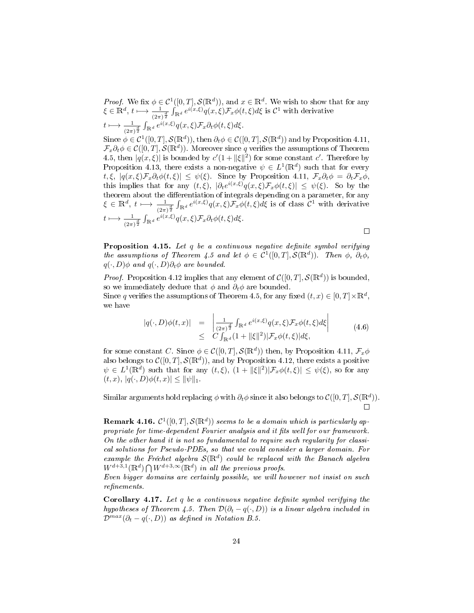*Proof.* We fix  $\phi \in C^1([0,T], \mathcal{S}(\mathbb{R}^d))$ , and  $x \in \mathbb{R}^d$ . We wish to show that for any  $\xi \in \mathbb{R}^d$ ,  $t \longmapsto \frac{1}{(2\pi)^{\frac{d}{2}}} \int_{\mathbb{R}^d} e^{i(x,\xi)} q(x,\xi) \mathcal{F}_x \phi(t,\xi) d\xi$  is  $\mathcal{C}^1$  with derivative

$$
t\longmapsto \tfrac{1}{(2\pi)^{\frac{d}{2}}}\int_{\mathbb{R}^d} e^{i(x,\xi)}q(x,\xi)\mathcal{F}_x\partial_t\phi(t,\xi)d\xi.
$$

Since  $\phi \in \mathcal{C}^1([0,T],\mathcal{S}(\mathbb{R}^d))$ , then  $\partial_t \phi \in \mathcal{C}([0,T],\mathcal{S}(\mathbb{R}^d))$  and by Proposition 4.11,  $\mathcal{F}_x \partial_t \phi \in \mathcal{C}([0,T], \mathcal{S}(\mathbb{R}^d))$ . Moreover since q verifies the assumptions of Theorem 4.5, then  $|q(x,\xi)|$  is bounded by  $c'(1+\|\xi\|^2)$  for some constant c'. Therefore by Proposition 4.13, there exists a non-negative  $\psi \in L^1(\mathbb{R}^d)$  such that for every t,  $\xi$ ,  $|q(x,\xi)\mathcal{F}_x\partial_t\phi(t,\xi)| \leq \psi(\xi)$ . Since by Proposition 4.11,  $\mathcal{F}_x\partial_t\phi = \partial_t\mathcal{F}_x\phi$ , this implies that for any  $(t,\xi)$ ,  $|\partial_t e^{i(x,\xi)} q(x,\xi) \mathcal{F}_x \phi(t,\xi)| \leq \psi(\xi)$ . So by the theorem about the differentiation of integrals depending on a parameter, for any  $\xi \in \mathbb{R}^d$ ,  $t \mapsto \frac{1}{(2\pi)^{\frac{d}{2}}} \int_{\mathbb{R}^d} e^{i(x,\xi)} q(x,\xi) \mathcal{F}_x \phi(t,\xi) d\xi$  is of class  $\mathcal{C}^1$  with derivative  $t\longmapsto \frac{1}{(2\pi)^{\frac{d}{2}}}\int_{\mathbb{R}^d} e^{i(x,\xi)}q(x,\xi)\mathcal{F}_x\partial_t\phi(t,\xi)d\xi.$  $\Box$ 

**Proposition 4.15.** Let  $q$  be a continuous negative definite symbol verifying the assumptions of Theorem 4.5 and let  $\phi \in C^1([0,T], \mathcal{S}(\mathbb{R}^d))$ . Then  $\phi$ ,  $\partial_t \phi$ ,  $q(\cdot, D)\phi$  and  $q(\cdot, D)\partial_t\phi$  are bounded.

*Proof.* Proposition 4.12 implies that any element of  $C([0,T], \mathcal{S}(\mathbb{R}^d))$  is bounded, so we immediately deduce that  $\phi$  and  $\partial_t \phi$  are bounded.

Since q verifies the assumptions of Theorem 4.5, for any fixed  $(t, x) \in [0, T] \times \mathbb{R}^d$ , we have

$$
|q(\cdot,D)\phi(t,x)| = \left|\frac{1}{(2\pi)^{\frac{d}{2}}} \int_{\mathbb{R}^d} e^{i(x,\xi)} q(x,\xi) \mathcal{F}_x \phi(t,\xi) d\xi\right|
$$
  
 
$$
\leq C \int_{\mathbb{R}^d} (1 + ||\xi||^2) |\mathcal{F}_x \phi(t,\xi)| d\xi,
$$
 (4.6)

for some constant C. Since  $\phi \in \mathcal{C}([0,T],\mathcal{S}(\mathbb{R}^d))$  then, by Proposition 4.11,  $\mathcal{F}_x\phi$ also belongs to  $\mathcal{C}([0,T], \mathcal{S}(\mathbb{R}^d))$ , and by Proposition 4.12, there exists a positive  $\psi \in L^1(\mathbb{R}^d)$  such that for any  $(t,\xi)$ ,  $(1 + ||\xi||^2)|\mathcal{F}_x\phi(t,\xi)| \leq \psi(\xi)$ , so for any  $(t, x), |q(\cdot, D)\phi(t, x)| \leq ||\psi||_1.$ 

Similar arguments hold replacing  $\phi$  with  $\partial_t\phi$  since it also belongs to  $\mathcal{C}([0,T],\mathcal{S}(\mathbb{R}^d)).$  $\Box$ 

**Remark 4.16.**  $C^1([0,T], \mathcal{S}(\mathbb{R}^d))$  seems to be a domain which is particularly appropriate for time-dependent Fourier analysis and it fits well for our framework. On the other hand it is not so fundamental to require such regularity for classical solutions for Pseudo-PDEs, so that we could consider a larger domain. For example the Fréchet algebra  $\mathcal{S}(\mathbb{R}^d)$  could be replaced with the Banach algebra  $W^{d+3,1}(\mathbb{R}^d) \bigcap W^{d+3,\infty}(\mathbb{R}^d)$  in all the previous proofs.

Even bigger domains are certainly possible, we will however not insist on such  $refinements.$ 

Corollary 4.17. Let  $q$  be a continuous negative definite symbol verifying the hypotheses of Theorem 4.5. Then  $\mathcal{D}(\partial_t - q(\cdot, D))$  is a linear algebra included in  $\mathcal{D}^{max}(\partial_t - q(\cdot, D))$  as defined in Notation B.5.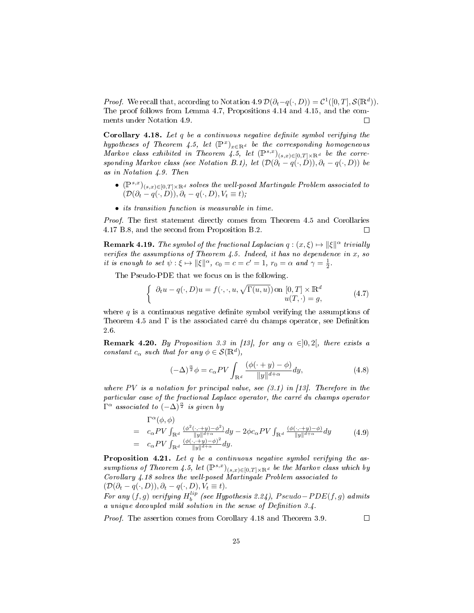*Proof.* We recall that, according to Notation 4.9  $\mathcal{D}(\partial_t - q(\cdot, D)) = \mathcal{C}^1([0, T], \mathcal{S}(\mathbb{R}^d)).$ The proof follows from Lemma 4.7, Propositions 4.14 and 4.15, and the comments under Notation 4.9.  $\Box$ 

Corollary 4.18. Let  $q$  be a continuous negative definite symbol verifying the hypotheses of Theorem 4.5, let  $(\mathbb{P}^x)_{x \in \mathbb{R}^d}$  be the corresponding homogeneous Markov class exhibited in Theorem 4.5, let  $(\mathbb{P}^{s,x})_{(s,x)\in[0,T]\times\mathbb{R}^d}$  be the corresponding Markov class (see Notation B.1), let  $(\mathcal{D}(\partial_t - q(\cdot, D)), \partial_t - q(\cdot, D))$  be as in Notation 4.9. Then

- $(\mathbb{P}^{s,x})_{(s,x)\in[0,T]\times\mathbb{R}^d}$  solves the well-posed Martingale Problem associated to  $(\mathcal{D}(\partial_t - q(\cdot, D)), \partial_t - q(\cdot, D), V_t \equiv t);$
- its transition function is measurable in time.

*Proof.* The first statement directly comes from Theorem 4.5 and Corollaries 4.17 B.8, and the second from Proposition B.2.  $\Box$ 

**Remark 4.19.** The symbol of the fractional Laplacian  $q:(x,\xi) \mapsto ||\xi||^{\alpha}$  trivially verifies the assumptions of Theorem 4.5. Indeed, it has no dependence in  $x$ , so it is enough to set  $\psi: \xi \mapsto ||\xi||^{\alpha}$ ,  $c_0 = c = c' = 1$ ,  $r_0 = \alpha$  and  $\gamma = \frac{1}{2}$ .

The Pseudo-PDE that we focus on is the following.

$$
\begin{cases} \partial_t u - q(\cdot, D)u = f(\cdot, \cdot, u, \sqrt{\Gamma(u, u)}) \text{ on } [0, T] \times \mathbb{R}^d \\ u(T, \cdot) = g, \end{cases}
$$
 (4.7)

where q is a continuous negative definite symbol verifying the assumptions of Theorem 4.5 and  $\Gamma$  is the associated carré du champs operator, see Definition 2.6.

**Remark 4.20.** By Proposition 3.3 in [13], for any  $\alpha \in ]0,2[$ , there exists a constant  $c_{\alpha}$  such that for any  $\phi \in \mathcal{S}(\mathbb{R}^d)$ ,

$$
(-\Delta)^{\frac{\alpha}{2}}\phi = c_{\alpha}PV \int_{\mathbb{R}^d} \frac{(\phi(\cdot+y) - \phi)}{\|y\|^{d+\alpha}} dy,
$$
\n(4.8)

where PV is a notation for principal value, see  $(3.1)$  in [13]. Therefore in the particular case of the fractional Laplace operator, the carré du champs operator  $\Gamma^{\alpha}$  associated to  $(-\Delta)^{\frac{\alpha}{2}}$  is given by

$$
\begin{array}{rcl}\n\Gamma^{\alpha}(\phi,\phi) & = & c_{\alpha}PV \int_{\mathbb{R}^d} \frac{(\phi^2(\cdot,\cdot+y) - \phi^2)}{\|y\|^{d+\alpha}} dy - 2\phi c_{\alpha}PV \int_{\mathbb{R}^d} \frac{(\phi(\cdot,\cdot+y) - \phi)}{\|y\|^{d+\alpha}} dy \\
& = & c_{\alpha}PV \int_{\mathbb{R}^d} \frac{(\phi(\cdot,\cdot+y) - \phi)^2}{\|y\|^{d+\alpha}} dy.\n\end{array} \tag{4.9}
$$

Proposition 4.21. Let q be a continuous negative symbol verifying the assumptions of Theorem 4.5, let  $(\mathbb{P}^{s,x})_{(s,x)\in[0,T]\times\mathbb{R}^d}$  be the Markov class which by Corollary 4.18 solves the well-posed Martingale Problem associated to  $(\mathcal{D}(\partial_t - q(\cdot, D)), \partial_t - q(\cdot, D), V_t \equiv t).$ 

For any  $(f, g)$  verifying  $H_b^{lip}$  (see Hypothesis 2.24), Pseudo–PDE $(f, g)$  admits a unique decoupled mild solution in the sense of Definition  $3.4$ .

Proof. The assertion comes from Corollary 4.18 and Theorem 3.9.

 $\Box$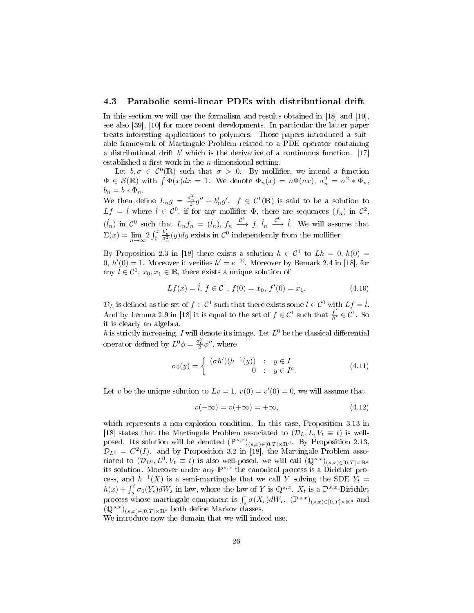#### 4.3 Parabolic semi-linear PDEs with distributional drift

In this section we will use the formalism and results obtained in [18] and [19], see also [39], [10] for more recent developments. In particular the latter paper treats interesting applications to polymers. Those papers introduced a suitable framework of Martingale Problem related to a PDE operator containing a distributional drift  $b'$  which is the derivative of a continuous function. [17] established a first work in the  $n$ -dimensional setting.

Let  $b, \sigma \in C^0(\mathbb{R})$  such that  $\sigma > 0$ . By mollifier, we intend a function  $\Phi \in \mathcal{S}(\mathbb{R})$  with  $\int \Phi(x)dx = 1$ . We denote  $\Phi_n(x) = n\Phi(nx)$ ,  $\sigma_n^2 = \sigma^2 * \Phi_n$ ,  $b_n = b * \Phi_n$ .

We then define  $L_n g = \frac{\sigma_n^2}{2} g'' + b'_n g'$ .  $f \in C^1(\mathbb{R})$  is said to be a solution to  $Lf = \dot{l}$  where  $\dot{l} \in C^0$ , if for any mollifier  $\Phi$ , there are sequences  $(f_n)$  in  $C^2$ ,  $(i_n)$  in  $\mathcal{C}^0$  such that  $L_n f_n = (i_n)$ ,  $f_n \xrightarrow{\mathcal{C}^1} f$ ,  $i_n \xrightarrow{\mathcal{C}^0} i$ . We will assume that  $\Sigma(x) = \lim_{n \to \infty} 2 \int_0^x$  $\frac{b'_n}{\sigma_n^2}(y)dy$  exists in  $\mathcal{C}^0$  independently from the mollifier.

By Proposition 2.3 in [18] there exists a solution  $h \in C^1$  to  $Lh = 0$ ,  $h(0) =$ 0,  $h'(0) = 1$ . Moreover it verifies  $h' = e^{-\Sigma}$ . Moreover by Remark 2.4 in [18], for any  $\hat{l} \in \mathcal{C}^0$ ,  $x_0, x_1 \in \mathbb{R}$ , there exists a unique solution of

$$
Lf(x) = \dot{t}, \ f \in \mathcal{C}^1, \ f(0) = x_0, \ f'(0) = x_1. \tag{4.10}
$$

 $\mathcal{D}_L$  is defined as the set of  $f \in \mathcal{C}^1$  such that there exists some  $\dot{l} \in \mathcal{C}^0$  with  $Lf = \dot{l}$ . And by Lemma 2.9 in [18] it is equal to the set of  $f \in C^1$  such that  $\frac{f'}{h'} \in C^1$ . So it is clearly an algebra.

h is strictly increasing, I will denote its image. Let  $L^0$  be the classical differential operator defined by  $L^0 \phi = \frac{\sigma_0^2}{2} \phi''$ , where

$$
\sigma_0(y) = \begin{cases}\n(\sigma h')(h^{-1}(y)) & \colon y \in I \\
0 & \colon y \in I^c.\n\end{cases}
$$
\n(4.11)

Let v be the unique solution to  $Lv = 1$ ,  $v(0) = v'(0) = 0$ , we will assume that

$$
v(-\infty) = v(+\infty) = +\infty, \tag{4.12}
$$

which represents a non-explosion condition. In this case, Proposition 3.13 in [18] states that the Martingale Problem associated to  $(\mathcal{D}_L, L, V_t \equiv t)$  is wellposed. Its solution will be denoted  $(\mathbb{P}^{s,x})_{(s,x)\in[0,T]\times\mathbb{R}^d}$ . By Proposition 2.13,  $\mathcal{D}_{L^0} = C^2(I)$  and by Proposition 3.2 in [18], the Martingale Problem associated to  $(\mathcal{D}_{L^0}, L^0, V_t \equiv t)$  is also well-posed, we will call  $(\mathbb{Q}^{s,x})_{(s,x)\in[0,T]\times\mathbb{R}^d}$ its solution. Moreover under any  $\mathbb{P}^{s,x}$  the canonical process is a Dirichlet process, and  $h^{-1}(X)$  is a semi-martingale that we call Y solving the SDE  $Y_t =$  $h(x) + \int_s^t \sigma_0(Y_s) dW_s$  in law, where the law of Y is  $\mathbb{Q}^{s,x}$ .  $X_t$  is a  $\mathbb{P}^{s,x}$ -Dirichlet process whose martingale component is  $\int_s^{\cdot} \sigma(X_r) dW_r$ .  $(\mathbb{P}^{s,x})_{(s,x)\in[0,T]\times\mathbb{R}^d}$  and  $(\mathbb{Q}^{s,x})_{(s,x)\in[0,T]\times\mathbb{R}^d}$  both define Markov classes.

We introduce now the domain that we will indeed use.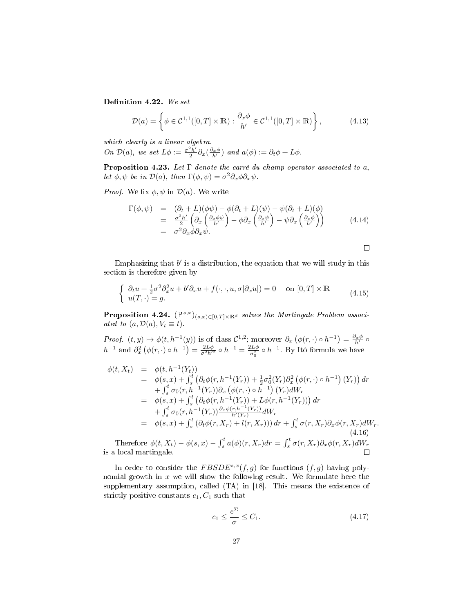Definition 4.22. We set

$$
\mathcal{D}(a) = \left\{ \phi \in \mathcal{C}^{1,1}([0,T] \times \mathbb{R}) : \frac{\partial_x \phi}{h'} \in \mathcal{C}^{1,1}([0,T] \times \mathbb{R}) \right\},\tag{4.13}
$$

which clearly is a linear algebra.

On  $\mathcal{D}(a)$ , we set  $L\phi := \frac{\sigma^2 h'}{2}$  $\frac{2h'}{2}\partial_x(\frac{\partial_x\phi}{h'})$  and  $a(\phi):=\partial_t\phi+L\phi$ .

**Proposition 4.23.** Let  $\Gamma$  denote the carré du champ operator associated to a, let  $\phi, \psi$  be in  $\mathcal{D}(a)$ , then  $\Gamma(\phi, \psi) = \sigma^2 \partial_x \phi \partial_x \psi$ .

*Proof.* We fix  $\phi, \psi$  in  $\mathcal{D}(a)$ . We write

$$
\Gamma(\phi, \psi) = (\partial_t + L)(\phi\psi) - \phi(\partial_t + L)(\psi) - \psi(\partial_t + L)(\phi)
$$
\n
$$
= \frac{\sigma^2 h'}{2} \left( \partial_x \left( \frac{\partial_x \phi \psi}{h'} \right) - \phi \partial_x \left( \frac{\partial_x \psi}{h'} \right) - \psi \partial_x \left( \frac{\partial_x \phi}{h'} \right) \right)
$$
\n
$$
= \sigma^2 \partial_x \phi \partial_x \psi.
$$
\n(4.14)

 $\Box$ 

Emphasizing that  $b'$  is a distribution, the equation that we will study in this section is therefore given by

$$
\begin{cases} \partial_t u + \frac{1}{2}\sigma^2 \partial_x^2 u + b' \partial_x u + f(\cdot, \cdot, u, \sigma | \partial_x u|) = 0 & \text{on } [0, T] \times \mathbb{R} \\ u(T, \cdot) = g. \end{cases} \tag{4.15}
$$

**Proposition 4.24.**  $(\mathbb{P}^{s,x})_{(s,x)\in[0,T]\times\mathbb{R}^d}$  solves the Martingale Problem associated to  $(a, \mathcal{D}(a), V_t \equiv t)$ .

Proof.  $(t, y) \mapsto \phi(t, h^{-1}(y))$  is of class  $\mathcal{C}^{1,2}$ ; moreover  $\partial_x (\phi(r, \cdot) \circ h^{-1}) = \frac{\partial_x \phi}{h'} \circ$  $h^{-1}$  and  $\partial_x^2 \left( \phi(r, \cdot) \circ h^{-1} \right) = \frac{2L\phi}{\sigma^2 h'^2} \circ h^{-1} = \frac{2L\phi}{\sigma_0^2}$  $\frac{dL\phi}{\sigma_0^2} \circ h^{-1}$ . By Itô formula we have

$$
\begin{array}{rcl}\n\phi(t, X_t) & = & \phi(t, h^{-1}(Y_t)) \\
& = & \phi(s, x) + \int_s^t \left(\partial_t \phi(r, h^{-1}(Y_r)) + \frac{1}{2}\sigma_0^2(Y_r)\partial_x^2\left(\phi(r, \cdot) \circ h^{-1}\right)(Y_r)\right) dr \\
& + \int_s^t \sigma_0(r, h^{-1}(Y_r))\partial_x\left(\phi(r, \cdot) \circ h^{-1}\right)(Y_r)dW_r \\
& = & \phi(s, x) + \int_s^t \left(\partial_t \phi(r, h^{-1}(Y_r)) + L\phi(r, h^{-1}(Y_r))\right) dr \\
& + \int_s^t \sigma_0(r, h^{-1}(Y_r))\frac{\partial_x \phi(r, h^{-1}(Y_r))}{h'(Y_r)}dW_r \\
& = & \phi(s, x) + \int_s^t \left(\partial_t \phi(r, X_r) + l(r, X_r)\right)dr + \int_s^t \sigma(r, X_r)\partial_x \phi(r, X_r)dW_r.\n\end{array} \tag{4.16}
$$
\nTherefore,  $\phi(t, X) = \phi(c, x)$ ,  $f^t \phi(s)(x, X_r)dx = f^t \phi(x, X_r) \partial_x \phi(r, X_r)dW_r.$ 

\n(4.16)

Therefore  $\phi(t, X_t) - \phi(s, x) - \int_s^t a(\phi)(r, X_r) dr = \int_s^t \sigma(r, X_r) \partial_x \phi(r, X_r) dW_r$ is a local martingale.  $\Box$ 

In order to consider the  $FBSDE^{s,x}(f,g)$  for functions  $(f,g)$  having polynomial growth in  $x$  we will show the following result. We formulate here the supplementary assumption, called (TA) in [18]. This means the existence of strictly positive constants  $c_1, C_1$  such that

$$
c_1 \le \frac{e^{\Sigma}}{\sigma} \le C_1. \tag{4.17}
$$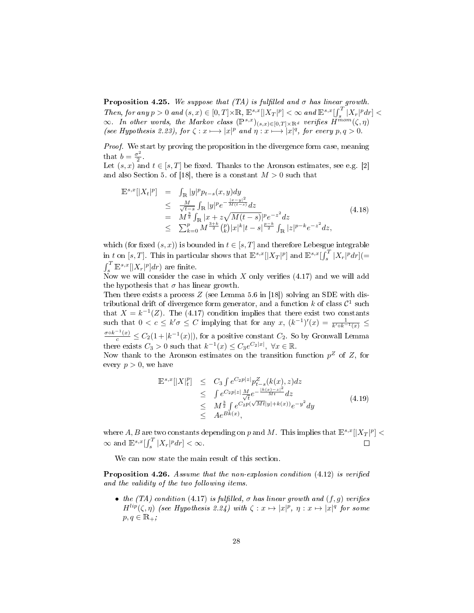**Proposition 4.25.** We suppose that (TA) is fulfilled and  $\sigma$  has linear growth. Then, for any  $p > 0$  and  $(s, x) \in [0, T] \times \mathbb{R}$ ,  $\mathbb{E}^{s,x}[|X_T|^p] < \infty$  and  $\mathbb{E}^{s,x}[ \int_s^T |X_r|^p dr ] <$  $\infty$ . In other words, the Markov class  $(\mathbb{P}^{s,x})_{(s,x)\in[0,T]\times\mathbb{R}^d}$  verifies  $H^{mom}(\zeta,\eta)$ (see Hypothesis 2.23), for  $\zeta: x \longmapsto |x|^p$  and  $\eta: x \longmapsto |x|^q$ , for every  $p, q > 0$ .

Proof. We start by proving the proposition in the divergence form case, meaning that  $b = \frac{\sigma^2}{2}$  $rac{1}{2}$ .

Let  $(s, x)$  and  $t \in [s, T]$  be fixed. Thanks to the Aronson estimates, see e.g. [2] and also Section 5. of [18], there is a constant  $M > 0$  such that

$$
\mathbb{E}^{s,x}[|X_t|^p] = \int_{\mathbb{R}} |y|^p p_{t-s}(x, y) dy
$$
  
\n
$$
\leq \frac{M}{\sqrt{t-s}} \int_{\mathbb{R}} |y|^p e^{-\frac{|x-y|^2}{M(t-s)}} dz
$$
  
\n
$$
= M^{\frac{3}{2}} \int_{\mathbb{R}} |x+z \sqrt{M(t-s)}|^{p} e^{-z^2} dz
$$
  
\n
$$
\leq \sum_{k=0}^p M^{\frac{3+k}{2}} {p \choose k} |x|^k |t-s|^{\frac{p-k}{2}} \int_{\mathbb{R}} |z|^{p-k} e^{-z^2} dz,
$$
\n(4.18)

which (for fixed  $(s, x)$ ) is bounded in  $t \in [s, T]$  and therefore Lebesgue integrable in t on [s, T]. This in particular shows that  $\mathbb{E}^{s,x}[|X_T|^p]$  and  $\mathbb{E}^{s,x}[\int_s^T |X_r|^p dr] (=$  $\int_s^T \mathbb{E}^{s,x}[|X_r|^p]dr$  are finite.

Now we will consider the case in which  $X$  only verifies (4.17) and we will add the hypothesis that  $\sigma$  has linear growth.

Then there exists a process  $Z$  (see Lemma 5.6 in [18]) solving an SDE with distributional drift of divergence form generator, and a function  $k$  of class  $\mathcal{C}^1$  such that  $X = k^{-1}(Z)$ . The (4.17) condition implies that there exist two constants such that  $0 < c \leq k' \sigma \leq C$  implying that for any  $x, (k^{-1})'(x) = \frac{1}{k' \circ k^{-1}(x)} \leq$  $\frac{\sigma \circ k^{-1}(x)}{c} \leq C_2(1+|k^{-1}(x)|)$ , for a positive constant  $C_2$ . So by Gronwall Lemma there exists  $C_3 > 0$  such that  $k^{-1}(x) \leq C_3 e^{C_2|x|}$ ,  $\forall x \in \mathbb{R}$ .

Now thank to the Aronson estimates on the transition function  $p^Z$  of Z, for every  $p > 0$ , we have

$$
\mathbb{E}^{s,x}[|X|_t^p] \leq C_3 \int e^{C_2 p|z|} p_{t-s}^Z(k(x), z) dz \n\leq \int e^{C_2 p|z|} \frac{M}{\sqrt{t}} e^{-\frac{|k(x)-z|^2}{Mt}} dz \n\leq M^{\frac{3}{2}} \int e^{C_2 p(\sqrt{Mt}|y|+k(x))} e^{-y^2} dy \n\leq Ae^{Bk(x)},
$$
\n(4.19)

where A, B are two constants depending on p and M. This implies that  $\mathbb{E}^{s,x}[|X_T|^p] < \infty$  $\infty$  and  $\mathbb{E}^{s,x}[\int_s^T |X_r|^p dr] < \infty$ .  $\Box$ 

We can now state the main result of this section.

**Proposition 4.26.** Assume that the non-explosion condition  $(4.12)$  is verified and the validity of the two following items.

• the (TA) condition (4.17) is fulfilled,  $\sigma$  has linear growth and  $(f, g)$  verifies  $H^{lip}(\zeta,\eta)$  (see Hypothesis 2.24) with  $\zeta: x \mapsto |x|^p, \eta: x \mapsto |x|^q$  for some  $p, q \in \mathbb{R}_+$ ;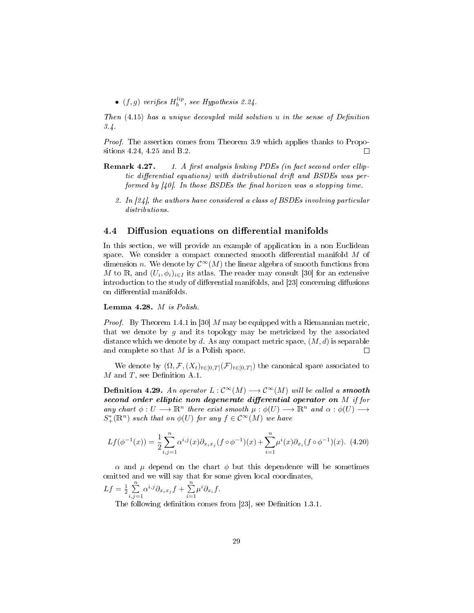•  $(f, g)$  verifies  $H_b^{lip}$ , see Hypothesis 2.24.

Then  $(4.15)$  has a unique decoupled mild solution u in the sense of Definition 3.4.

Proof. The assertion comes from Theorem 3.9 which applies thanks to Propositions 4.24, 4.25 and B.2.  $\Box$ 

- Remark 4.27. 1. A first analysis linking PDEs (in fact second order elliptic differential equations) with distributional drift and  $BSDEs$  was performed by  $[40]$ . In those BSDEs the final horizon was a stopping time.
	- 2. In [24], the authors have considered a class of BSDEs involving particular distributions.

#### 4.4 Diffusion equations on differential manifolds

In this section, we will provide an example of application in a non Euclidean space. We consider a compact connected smooth differential manifold  $M$  of dimension n. We denote by  $\mathcal{C}^{\infty}(M)$  the linear algebra of smooth functions from  $M$  to  $\mathbb R,$  and  $(U_i, \phi_i)_{i\in I}$  its atlas. The reader may consult  $[30]$  for an extensive introduction to the study of differential manifolds, and [23] concerning diffusions on differential manifolds.

#### Lemma 4.28. M is Polish.

*Proof.* By Theorem 1.4.1 in [30] M may be equipped with a Riemannian metric, that we denote by  $g$  and its topology may be metricized by the associated distance which we denote by d. As any compact metric space,  $(M, d)$  is separable and complete so that M is a Polish space.  $\Box$ 

We denote by  $(\Omega, \mathcal{F}, (X_t)_{t\in[0,T]}(\mathcal{F})_{t\in[0,T]})$  the canonical space associated to  $M$  and  $T$ , see Definition A.1.

**Definition 4.29.** An operator  $L : \mathcal{C}^{\infty}(M) \longrightarrow \mathcal{C}^{\infty}(M)$  will be called a **smooth** second order elliptic non degenerate differential operator on  $M$  if for any chart  $\phi: U \longrightarrow \mathbb{R}^n$  there exist smooth  $\mu: \phi(U) \longrightarrow \mathbb{R}^n$  and  $\alpha: \phi(U) \longrightarrow$  $S^*_{+}(\mathbb{R}^n)$  such that on  $\phi(U)$  for any  $f \in C^{\infty}(M)$  we have

$$
Lf(\phi^{-1}(x)) = \frac{1}{2} \sum_{i,j=1}^{n} \alpha^{i,j}(x) \partial_{x_i x_j} (f \circ \phi^{-1})(x) + \sum_{i=1}^{n} \mu^{i}(x) \partial_{x_i} (f \circ \phi^{-1})(x).
$$
 (4.20)

 $\alpha$  and  $\mu$  depend on the chart  $\phi$  but this dependence will be sometimes omitted and we will say that for some given local coordinates,

$$
Lf = \frac{1}{2} \sum_{i,j=1}^{n} \alpha^{i,j} \partial_{x_i x_j} f + \sum_{i=1}^{n} \mu^i \partial_{x_i} f.
$$

The following definition comes from [23], see Definition 1.3.1.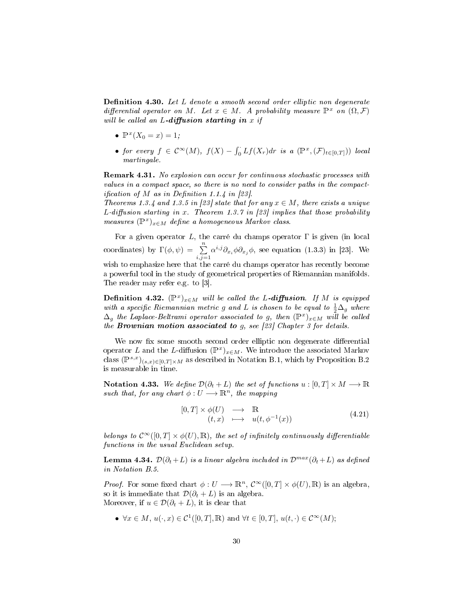**Definition 4.30.** Let  $L$  denote a smooth second order elliptic non degenerate differential operator on M. Let  $x \in M$ . A probability measure  $\mathbb{P}^x$  on  $(\Omega, \mathcal{F})$ will be called an  $L$ -diffusion starting in x if

- $\mathbb{P}^x(X_0 = x) = 1;$
- for every  $f \in \mathcal{C}^{\infty}(M)$ ,  $f(X) \int_0^{\cdot} Lf(X_r)dr$  is a  $(\mathbb{P}^x, (\mathcal{F})_{t \in [0,T]})$ ) local martingale.

Remark 4.31. No explosion can occur for continuous stochastic processes with values in a compact space, so there is no need to consider paths in the compact*ification of* M as in Definition 1.1.4 in [23].

Theorems 1.3.4 and 1.3.5 in [23] state that for any  $x \in M$ , there exists a unique L-diffusion starting in x. Theorem 1.3.7 in [23] implies that those probability measures  $(\mathbb{P}^x)_{x \in M}$  define a homogeneous Markov class.

For a given operator L, the carré du champs operator  $\Gamma$  is given (in local coordinates) by  $\Gamma(\phi, \psi) = \sum_{i,j=1}^n$  $\alpha^{i,j}\partial_{x_i}\phi\partial_{x_j}\phi$ , see equation (1.3.3) in [23]. We wish to emphasize here that the carré du champs operator has recently become a powerful tool in the study of geometrical properties of Riemannian manifolds. The reader may refer e.g. to [3].

**Definition 4.32.**  $(\mathbb{P}^x)_{x \in M}$  will be called the L-diffusion. If M is equipped with a specific Riemannian metric g and L is chosen to be equal to  $\frac{1}{2}\Delta_g$  where  $\Delta_g$  the Laplace-Beltrami operator associated to g, then  $(\mathbb{P}^x)_{x \in M}$  will be called the **Brownian motion associated to**  $g$ , see [23] Chapter 3 for details.

We now fix some smooth second order elliptic non degenerate differential operator L and the L-diffusion  $(\mathbb{P}^x)_{x \in M}$ . We introduce the associated Markov class  $(\mathbb{P}^{s,x})_{(s,x)\in[0,T]\times M}$  as described in Notation B.1, which by Proposition B.2 is measurable in time.

Notation 4.33. We define  $\mathcal{D}(\partial_t + L)$  the set of functions  $u : [0, T] \times M \longrightarrow \mathbb{R}$ such that, for any chart  $\phi: U \longrightarrow \mathbb{R}^n$ , the mapping

$$
\begin{array}{rcl}\n[0,T] \times \phi(U) & \longrightarrow & \mathbb{R} \\
(t,x) & \longmapsto & u(t,\phi^{-1}(x))\n\end{array} \tag{4.21}
$$

belongs to  $\mathcal{C}^{\infty}([0,T] \times \phi(U), \mathbb{R})$ , the set of infinitely continuously differentiable functions in the usual Euclidean setup.

Lemma 4.34.  $\mathcal{D}(\partial_t + L)$  is a linear algebra included in  $\mathcal{D}^{max}(\partial_t + L)$  as defined in Notation B.5.

*Proof.* For some fixed chart  $\phi: U \longrightarrow \mathbb{R}^n$ ,  $\mathcal{C}^{\infty}([0,T] \times \phi(U), \mathbb{R})$  is an algebra, so it is immediate that  $\mathcal{D}(\partial_t + L)$  is an algebra. Moreover, if  $u \in \mathcal{D}(\partial_t + L)$ , it is clear that

•  $\forall x \in M, u(\cdot, x) \in \mathcal{C}^1([0,T], \mathbb{R})$  and  $\forall t \in [0,T], u(t, \cdot) \in \mathcal{C}^{\infty}(M);$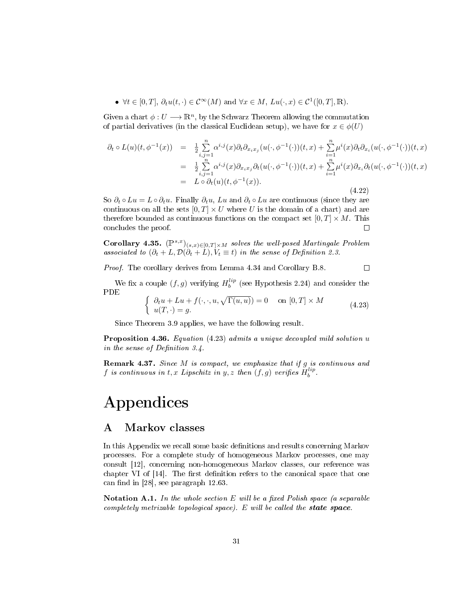•  $\forall t \in [0, T], \partial_t u(t, \cdot) \in C^{\infty}(M)$  and  $\forall x \in M, \, Lu(\cdot, x) \in C^1([0, T], \mathbb{R}).$ 

Given a chart  $\phi: U \longrightarrow \mathbb{R}^n$ , by the Schwarz Theorem allowing the commutation of partial derivatives (in the classical Euclidean setup), we have for  $x \in \phi(U)$ 

$$
\partial_t \circ L(u)(t, \phi^{-1}(x)) = \frac{1}{2} \sum_{\substack{i,j=1 \ i,j=1}}^n \alpha^{i,j}(x) \partial_t \partial_{x_i x_j}(u(\cdot, \phi^{-1}(\cdot))(t, x) + \sum_{\substack{i=1 \ i \neq j}}^n \mu^i(x) \partial_t \partial_{x_i}(u(\cdot, \phi^{-1}(\cdot))(t, x))
$$
  
\n
$$
= \frac{1}{2} \sum_{\substack{i,j=1 \ i,j=1}}^n \alpha^{i,j}(x) \partial_{x_i x_j} \partial_t(u(\cdot, \phi^{-1}(\cdot))(t, x) + \sum_{i=1}^n \mu^i(x) \partial_{x_i} \partial_t(u(\cdot, \phi^{-1}(\cdot))(t, x))
$$
  
\n
$$
= L \circ \partial_t(u)(t, \phi^{-1}(x)). \tag{4.22}
$$

So  $\partial_t \circ Lu = L \circ \partial_t u$ . Finally  $\partial_t u$ , Lu and  $\partial_t \circ Lu$  are continuous (since they are continuous on all the sets  $[0, T] \times U$  where U is the domain of a chart) and are therefore bounded as continuous functions on the compact set  $[0, T] \times M$ . This concludes the proof.  $\Box$ 

Corollary 4.35.  $(\mathbb{P}^{s,x})_{(s,x)\in[0,T]\times M}$  solves the well-posed Martingale Problem associated to  $(\partial_t + L, \mathcal{D}(\partial_t + L), V_t \equiv t)$  in the sense of Definition 2.3.

Proof. The corollary derives from Lemma 4.34 and Corollary B.8.  $\Box$ 

We fix a couple  $(f, g)$  verifying  $H_b^{lip}$  (see Hypothesis 2.24) and consider the PDE

$$
\begin{cases} \partial_t u + Lu + f(\cdot, \cdot, u, \sqrt{\Gamma(u, u)}) = 0 & \text{on } [0, T] \times M \\ u(T, \cdot) = g. \end{cases}
$$
 (4.23)

Since Theorem 3.9 applies, we have the following result.

Proposition 4.36. Equation (4.23) admits a unique decoupled mild solution u in the sense of Definition  $3.4$ .

**Remark 4.37.** Since  $M$  is compact, we emphasize that if  $g$  is continuous and  $f$  is continuous in  $t, x$  Lipschitz in  $y, z$  then  $(f, g)$  verifies  $H_b^{lip}$ .

# Appendices

#### A Markov classes

In this Appendix we recall some basic definitions and results concerning Markov processes. For a complete study of homogeneous Markov processes, one may consult [12], concerning non-homogeneous Markov classes, our reference was chapter VI of  $[14]$ . The first definition refers to the canonical space that one can find in  $[28]$ , see paragraph 12.63.

Notation A.1. In the whole section  $E$  will be a fixed Polish space (a separable completely metrizable topological space). E will be called the state space.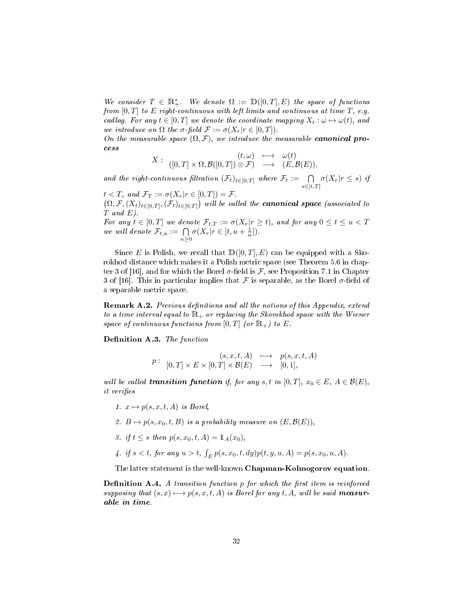We consider  $T \in \mathbb{R}_+^*$ . We denote  $\Omega := \mathbb{D}([0,T], E)$  the space of functions from  $[0, T]$  to E right-continuous with left limits and continuous at time T, e.g. cadlag. For any  $t \in [0, T]$  we denote the coordinate mapping  $X_t : \omega \mapsto \omega(t)$ , and we introduce on  $\Omega$  the  $\sigma$ -field  $\mathcal{F} := \sigma(X_r|r \in [0,T])$ .

On the measurable space  $(\Omega, \mathcal{F})$ , we introduce the measurable **canonical pro**cess

$$
X: \begin{array}{ccc} (t,\omega)&\longmapsto&\omega(t)\\ ([0,T]\times \Omega,\mathcal{B}([0,T])\otimes \mathcal{F})&\longrightarrow&(E,\mathcal{B}(E)),\end{array}
$$

and the right-continuous filtration  $(\mathcal{F}_t)_{t \in [0,T]}$  where  $\mathcal{F}_t := \bigcap_{s \in [t,T]} \sigma(X_r | r \leq s)$  if

 $t < T$ , and  $\mathcal{F}_T := \sigma(X_r | r \in [0, T]) = \mathcal{F}$ .  $(\Omega, \mathcal{F}, (X_t)_{t\in[0,T]}, (\mathcal{F}_t)_{t\in[0,T]})$  will be called the **canonical space** (associated to  $\dot{T}$  and  $E$ ).

For any  $t \in [0,T]$  we denote  $\mathcal{F}_{t,T} := \sigma(X_r | r \geq t)$ , and for any  $0 \leq t \leq u < T$ we will denote  $\mathcal{F}_{t,u} := \bigcap_{n \geq 0} \sigma(X_r | r \in [t, u + \frac{1}{n}]).$ 

Since E is Polish, we recall that  $D([0, T], E)$  can be equipped with a Skorokhod distance which makes it a Polish metric space (see Theorem 5.6 in chapter 3 of [16], and for which the Borel  $\sigma$ -field is F, see Proposition 7.1 in Chapter 3 of [16]. This in particular implies that  $\mathcal F$  is separable, as the Borel  $\sigma$ -field of a separable metric space.

Remark A.2. Previous definitions and all the notions of this Appendix, extend to a time interval equal to  $\mathbb{R}_+$  or replacing the Skorokhod space with the Wiener space of continuous functions from  $[0, T]$  (or  $\mathbb{R}_+$ ) to E.

Definition A.3. The function

$$
p: \begin{array}{rcl} (s, x, t, A) & \longmapsto & p(s, x, t, A) \\ (0, T] \times E \times [0, T] \times \mathcal{B}(E) & \longrightarrow & [0, 1], \end{array}
$$

will be called **transition function** if, for any s, t in  $[0, T]$ ,  $x_0 \in E$ ,  $A \in \mathcal{B}(E)$ , it verifies

- 1.  $x \mapsto p(s, x, t, A)$  is Borel,
- 2.  $B \mapsto p(s, x_0, t, B)$  is a probability measure on  $(E, \mathcal{B}(E)),$
- 3. if  $t \leq s$  then  $p(s, x_0, t, A) = \mathbb{1}_A(x_0)$ ,
- 4. if  $s < t$ , for any  $u > t$ ,  $\int_E p(s, x_0, t, dy)p(t, y, u, A) = p(s, x_0, u, A)$ .

The latter statement is the well-known Chapman-Kolmogorov equation.

**Definition A.4.** A transition function  $p$  for which the first item is reinforced supposing that  $(s, x) \rightarrow p(s, x, t, A)$  is Borel for any t, A, will be said measurable in time.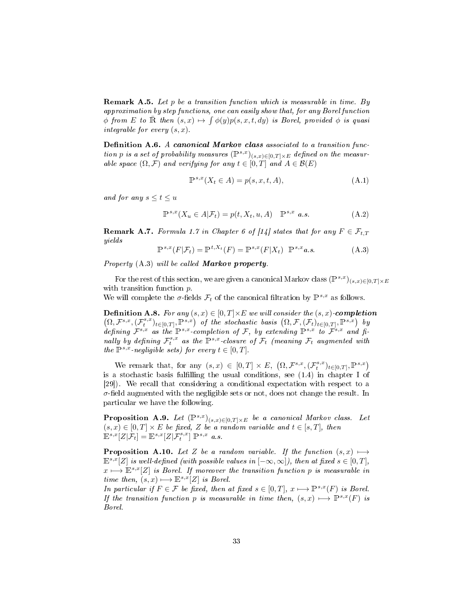Remark A.5. Let p be a transition function which is measurable in time. By approximation by step functions, one can easily show that, for any Borel function  $\phi$  from E to  $\overline{\mathbb{R}}$  then  $(s, x) \mapsto \int \phi(y)p(s, x, t, dy)$  is Borel, provided  $\phi$  is quasi integrable for every  $(s, x)$ .

Definition A.6. A canonical Markov class associated to a transition function p is a set of probability measures  $(\mathbb{P}^{s,x})_{(s,x)\in[0,T]\times E}$  defined on the measurable space  $(\Omega, \mathcal{F})$  and verifying for any  $t \in [0, T]$  and  $A \in \mathcal{B}(E)$ 

$$
\mathbb{P}^{s,x}(X_t \in A) = p(s, x, t, A),\tag{A.1}
$$

and for any  $s \le t \le u$ 

$$
\mathbb{P}^{s,x}(X_u \in A | \mathcal{F}_t) = p(t, X_t, u, A) \quad \mathbb{P}^{s,x} \quad a.s.
$$
\n(A.2)

**Remark A.7.** Formula 1.7 in Chapter 6 of [14] states that for any  $F \in \mathcal{F}_{t,T}$ yields

$$
\mathbb{P}^{s,x}(F|\mathcal{F}_t) = \mathbb{P}^{t,X_t}(F) = \mathbb{P}^{s,x}(F|X_t) \quad \mathbb{P}^{s,x} \, a.s. \tag{A.3}
$$

Property (A.3) will be called **Markov property**.

For the rest of this section, we are given a canonical Markov class  $(\mathbb{P}^{s,x})_{(s,x)\in[0,T]\times E}$ with transition function  $p$ .

We will complete the  $\sigma$ -fields  $\mathcal{F}_t$  of the canonical filtration by  $\mathbb{P}^{s,x}$  as follows.

**Definition A.8.** For any  $(s, x) \in [0, T] \times E$  we will consider the  $(s, x)$ -completion  $(\Omega, \mathcal{F}^{s,x},(\mathcal{F}^{s,x}_t)_{t\in[0,T]}, \mathbb{P}^{s,x})$  of the stochastic basis  $(\Omega, \mathcal{F},(\mathcal{F}_t)_{t\in[0,T]}, \mathbb{P}^{s,x})$  by defining  $\mathcal{F}^{s,x}$  as the  $\mathbb{P}^{s,x}$ -completion of F, by extending  $\mathbb{P}^{s,x}$  to  $\mathcal{F}^{s,x}$  and finally by defining  $\mathcal{F}^{s,x}_t$  as the  $\mathbb{P}^{s,x}$ -closure of  $\mathcal{F}_t$  (meaning  $\mathcal{F}_t$  augmented with the  $\mathbb{P}^{s,x}$ -negligible sets) for every  $t \in [0,T]$ .

We remark that, for any  $(s, x) \in [0, T] \times E$ ,  $(\Omega, \mathcal{F}^{s,x}, (\mathcal{F}^{s,x}_t)_{t \in [0,T]}, \mathbb{P}^{s,x})$ is a stochastic basis fullling the usual conditions, see (1.4) in chapter I of [29]). We recall that considering a conditional expectation with respect to a  $\sigma$ -field augmented with the negligible sets or not, does not change the result. In particular we have the following.

**Proposition A.9.** Let  $(\mathbb{P}^{s,x})_{(s,x)\in[0,T]\times E}$  be a canonical Markov class. Let  $(s, x) \in [0, T] \times E$  be fixed, Z be a random variable and  $t \in [s, T]$ , then  $\mathbb{E}^{s,x}[Z|\mathcal{F}_t] = \mathbb{E}^{s,x}[Z|\mathcal{F}^{s,x}_t] \mathbb{P}^{s,x}$  a.s.

**Proposition A.10.** Let Z be a random variable. If the function  $(s, x) \mapsto$  $E^{s,x}[Z]$  is well-defined (with possible values in  $[-\infty,\infty]$ ), then at fixed  $s \in [0,T]$ ,  $x \mapsto E^{s,x}[Z]$  is Borel. If moreover the transition function p is measurable in time then,  $(s, x) \longmapsto \mathbb{E}^{s,x}[Z]$  is Borel.

In particular if  $F \in \mathcal{F}$  be fixed, then at fixed  $s \in [0, T]$ ,  $x \longmapsto \mathbb{P}^{s,x}(F)$  is Borel. If the transition function p is measurable in time then,  $(s, x) \rightarrow P^{s,x}(F)$  is Borel.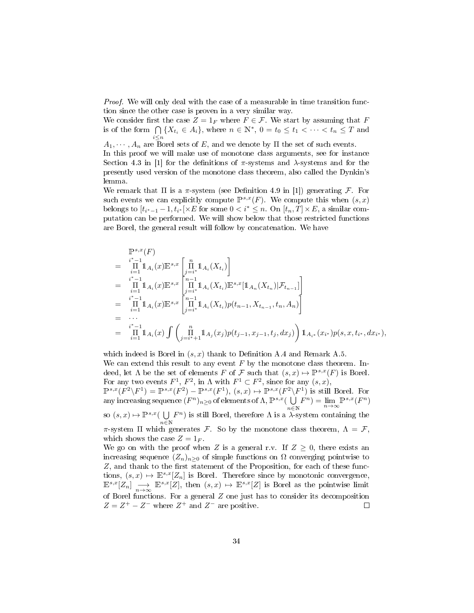Proof. We will only deal with the case of a measurable in time transition function since the other case is proven in a very similar way.

We consider first the case  $Z = 1_F$  where  $F \in \mathcal{F}$ . We start by assuming that F is of the form  $\bigcap$  $\bigcap_{i\leq n} \{X_{t_i} \in A_i\}$ , where  $n \in \mathbb{N}^*$ ,  $0 = t_0 \leq t_1 < \cdots < t_n \leq T$  and  $A_1, \dots, A_n$  are Borel sets of E, and we denote by  $\Pi$  the set of such events. In this proof we will make use of monotone class arguments, see for instance Section 4.3 in [1] for the definitions of  $\pi$ -systems and  $\lambda$ -systems and for the presently used version of the monotone class theorem, also called the Dynkin's lemma.

We remark that  $\Pi$  is a  $\pi$ -system (see Definition 4.9 in [1]) generating  $\mathcal{F}$ . For such events we can explicitly compute  $\mathbb{P}^{s,x}(F)$ . We compute this when  $(s, x)$ belongs to  $[t_{i^*-1}-1, t_{i^*}[\times E \text{ for some } 0 < i^* \leq n$ . On  $[t_n, T] \times E$ , a similar computation can be performed. We will show below that those restricted functions are Borel, the general result will follow by concatenation. We have

$$
\begin{split}\n&= \prod_{i=1}^{i^{*}-1} \Pi_{A_{i}}(x) \mathbb{E}^{s,x} \left[ \prod_{j=i^{*}}^{n} \mathbb{1}_{A_{i}}(X_{t_{i}}) \right] \\
&= \prod_{i=1}^{i^{*}-1} \mathbb{1}_{A_{i}}(x) \mathbb{E}^{s,x} \left[ \prod_{j=i^{*}}^{n-1} \mathbb{1}_{A_{i}}(X_{t_{i}}) \mathbb{E}^{s,x} [\mathbb{1}_{A_{n}}(X_{t_{n}})|\mathcal{F}_{t_{n-1}}] \right] \\
&= \prod_{i=1}^{i^{*}-1} \Pi_{A_{i}}(x) \mathbb{E}^{s,x} \left[ \prod_{j=i^{*}}^{n-1} \mathbb{1}_{A_{i}}(X_{t_{i}}) p(t_{n-1}, X_{t_{n-1}}, t_{n}, A_{n}) \right] \\
&= \cdots \\
&= \prod_{i=1}^{i^{*}-1} \mathbb{1}_{A_{i}}(x) \int \left( \prod_{j=i^{*}+1}^{n} \mathbb{1}_{A_{j}}(x_{j}) p(t_{j-1}, x_{j-1}, t_{j}, dx_{j}) \right) \mathbb{1}_{A_{i^{*}}}(x_{i^{*}}) p(s, x, t_{i^{*}}, dx_{i^{*}}),\n\end{split}
$$

which indeed is Borel in  $(s, x)$  thank to Definition A.4 and Remark A.5. We can extend this result to any event  $F$  by the monotone class theorem. Indeed, let  $\Lambda$  be the set of elements F of F such that  $(s, x) \mapsto \mathbb{P}^{s,x}(F)$  is Borel. For any two events  $F^1$ ,  $F^2$ , in  $\Lambda$  with  $F^1 \subset F^2$ , since for any  $(s, x)$ ,  $\mathbb{P}^{s,x}(F^2 \backslash F^1) = \mathbb{P}^{s,x}(F^2) - \mathbb{P}^{s,x}(F^1), (s,x) \mapsto \mathbb{P}^{s,x}(F^2 \backslash F^1)$  is still Borel. For

any increasing sequence  $(F^n)_{n\geq 0}$  of elements of  $\Lambda$ ,  $\mathbb{P}^{s,x}(\bigcup_{n\in\mathbb{N}} F^n) = \lim_{n\to\infty} \mathbb{P}^{s,x}(F^n)$ so  $(s, x) \mapsto \mathbb{P}^{s,x}$  (  $\bigcup F^n$ ) is still Borel, therefore  $\Lambda$  is a  $\lambda$ -sy  $n \bar{\in} \mathbb{N}$  $F<sup>n</sup>$ ) is still Borel, therefore  $\Lambda$  is a  $\lambda$ -system containing the

π-system Π which generates F. So by the monotone class theorem,  $Λ = F$ , which shows the case  $Z = 1<sub>F</sub>$ .

We go on with the proof when Z is a general r.v. If  $Z \geq 0$ , there exists an increasing sequence  $(Z_n)_{n>0}$  of simple functions on  $\Omega$  converging pointwise to  $Z$ , and thank to the first statement of the Proposition, for each of these functions,  $(s, x) \mapsto \mathbb{E}^{s,x}[Z_n]$  is Borel. Therefore since by monotonic convergence,  $\mathbb{E}^{s,x}[Z_n] \longrightarrow_{n \to \infty} \mathbb{E}^{s,x}[Z]$ , then  $(s, x) \mapsto \mathbb{E}^{s,x}[Z]$  is Borel as the pointwise limit of Borel functions. For a general  $Z$  one just has to consider its decomposition  $Z = Z^+ - Z^-$  where  $Z^+$  and  $Z^-$  are positive.  $\Box$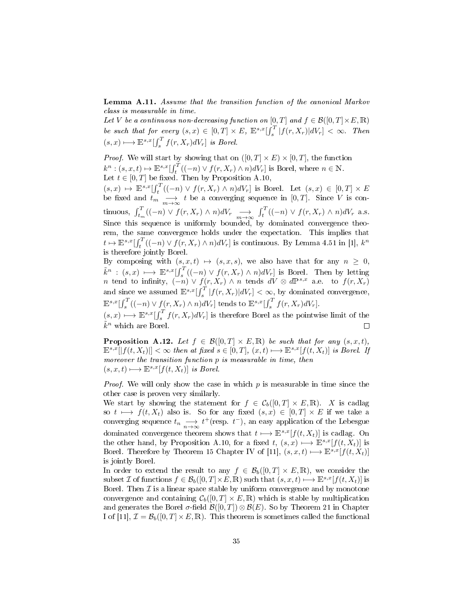Lemma A.11. Assume that the transition function of the canonical Markov class is measurable in time.

Let V be a continuous non-decreasing function on  $[0, T]$  and  $f \in \mathcal{B}([0, T] \times E, \mathbb{R})$ be such that for every  $(s, x) \in [0, T] \times E$ ,  $\mathbb{E}^{s,x} \left[ \int_s^T |f(r, X_r)| dV_r \right] < \infty$ . Then  $(s, x) \longmapsto \mathbb{E}^{s,x}[\int_s^T f(r, X_r)dV_r]$  is Borel.

*Proof.* We will start by showing that on  $([0, T] \times E) \times [0, T]$ , the function  $k^n : (s, x, t) \mapsto \mathbb{E}^{s,x} \left[ \int_t^T ((-n) \vee f(r, X_r) \wedge n) dV_r \right]$  is Borel, where  $n \in \mathbb{N}$ . Let  $t \in [0, T]$  be fixed. Then by Proposition A.10,

 $(s, x) \mapsto \mathbb{E}^{s, x} \left[ \int_t^T ((-n) \vee f(r, X_r) \wedge n) dV_r \right]$  is Borel. Let  $(s, x) \in [0, T] \times E$ be fixed and  $t_m \longrightarrow \atop m \to \infty$  t be a converging sequence in [0, T]. Since V is continuous,  $\int_{t_m}^{T} ((-n) \vee f(r, X_r) \wedge n) dV_r \longrightarrow \int_{t_m \to \infty}^{T} ((-n) \vee f(r, X_r) \wedge n) dV_r$  a.s. Since this sequence is uniformly bounded, by dominated convergence theorem, the same convergence holds under the expectation. This implies that  $t \mapsto \mathbb{E}^{s,x}[\int_t^T ((-n) \vee f(r,X_r) \wedge n) dV_r]$  is continuous. By Lemma 4.51 in [1],  $k^n$ is therefore jointly Borel.

By composing with  $(s, x, t) \mapsto (s, x, s)$ , we also have that for any  $n \geq 0$ ,  $\tilde{k}^n$  :  $(s, x) \longmapsto \mathbb{E}^{s, x} \left[ \int_s^T ((-n) \vee f(r, X_r) \wedge n) dV_r \right]$  is Borel. Then by letting n tend to infinity,  $(-n) \vee f(r, X_r) \wedge n$  tends  $dV \otimes d\mathbb{P}^{s,x}$  a.e. to  $f(r, X_r)$ and since we assumed  $\mathbb{E}^{s,x}[\int_s^T |f(r,X_r)|dV_r] < \infty$ , by dominated convergence,  $\mathbb{E}^{s,x}[\int_s^T ((-n) \vee f(r,X_r) \wedge n) dV_r]$  tends to  $\mathbb{E}^{s,x}[\int_s^T f(r,X_r) dV_r]$ .

 $(s, x) \longmapsto \mathbb{E}^{s, x} \left[ \int_s^T f(r, X_r) dV_r \right]$  is therefore Borel as the pointwise limit of the  $\tilde{k}^n$  which are Borel.  $\Box$ 

**Proposition A.12.** Let  $f \in \mathcal{B}([0,T] \times E, \mathbb{R})$  be such that for any  $(s, x, t)$ ,  $\mathbb{E}^{s,x}[|f(t,X_t)|]<\infty$  then at fixed  $s\in[0,T], (x,t)\longmapsto \mathbb{E}^{s,x}[f(t,X_t)]$  is Borel. If moreover the transition function p is measurable in time, then  $(s, x, t) \longmapsto \mathbb{E}^{s,x}[f(t, X_t)]$  is Borel.

*Proof.* We will only show the case in which  $p$  is measurable in time since the other case is proven very similarly.

We start by showing the statement for  $f \in C_b([0,T] \times E, \mathbb{R})$ . X is cadlag so  $t \longmapsto f(t, X_t)$  also is. So for any fixed  $(s, x) \in [0, T] \times E$  if we take a converging sequence  $t_n \longrightarrow t^+(\text{resp. } t^-)$ , an easy application of the Lebesgue dominated convergence theorem shows that  $t \mapsto \mathbb{E}^{s,x}[f(t, X_t)]$  is cadlag. On the other hand, by Proposition A.10, for a fixed t,  $(s, x) \rightarrow E^{s,x}[f(t, X_t)]$  is Borel. Therefore by Theorem 15 Chapter IV of [11],  $(s, x, t) \mapsto \mathbb{E}^{s,x}[f(t, X_t)]$ is jointly Borel.

In order to extend the result to any  $f \in \mathcal{B}_b([0,T] \times E,\mathbb{R})$ , we consider the subset  $\mathcal I$  of functions  $f \in \mathcal B_b([0,T] \times E, \mathbb R)$  such that  $(s, x, t) \longmapsto \mathbb E^{s,x}[f(t, X_t)]$  is Borel. Then  $\mathcal I$  is a linear space stable by uniform convergence and by monotone convergence and containing  $C_b([0, T] \times E, \mathbb{R})$  which is stable by multiplication and generates the Borel  $\sigma$ -field  $\mathcal{B}([0,T]) \otimes \mathcal{B}(E)$ . So by Theorem 21 in Chapter I of [11],  $\mathcal{I} = \mathcal{B}_b([0,T] \times E, \mathbb{R})$ . This theorem is sometimes called the functional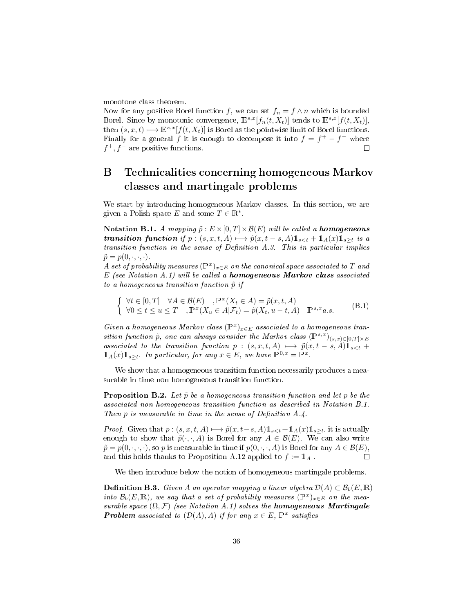monotone class theorem.

Now for any positive Borel function f, we can set  $f_n = f \wedge n$  which is bounded Borel. Since by monotonic convergence,  $\mathbb{E}^{s,x}[f_n(t, X_t)]$  tends to  $\mathbb{E}^{s,x}[f(t, X_t)],$ then  $(s, x, t) \mapsto \mathbb{E}^{s,x}[f(t, X_t)]$  is Borel as the pointwise limit of Borel functions. Finally for a general f it is enough to decompose it into  $f = f^+ - f^-$  where  $f^+, f^-$  are positive functions.  $\Box$ 

# B Technicalities concerning homogeneous Markov classes and martingale problems

We start by introducing homogeneous Markov classes. In this section, we are given a Polish space E and some  $T \in \mathbb{R}^*$ .

Notation B.1. A mapping  $\tilde{p}: E \times [0,T] \times \mathcal{B}(E)$  will be called a homogeneous **transition function** if  $p : (s, x, t, A) \rightarrow \tilde{p}(x, t - s, A)1_{s \leq t} + 1_A(x)1_{s \geq t}$  is a  $transition\ function\ in\ the\ sense\ of\ Definition\ A.3. This\ in\ particular\ implies$  $\tilde{p} = p(0, \cdot, \cdot, \cdot).$ 

A set of probability measures  $(\mathbb{P}^x)_{x \in E}$  on the canonical space associated to T and  $E$  (see Notation A.1) will be called a **homogeneous Markov class** associated to a homogeneous transition function  $\tilde{p}$  if

$$
\begin{cases} \forall t \in [0, T] & \forall A \in \mathcal{B}(E) \\ \forall 0 \le t \le u \le T \end{cases}, \mathbb{P}^x(X_t \in A) = \tilde{p}(x, t, A) \\ \forall 0 \le t \le u \le T \end{cases} \tag{B.1}
$$

Given a homogeneous Markov class  $(\mathbb{P}^x)_{x \in E}$  associated to a homogeneous transition function  $\tilde{p}$ , one can always consider the Markov class  $(\mathbb{P}^{s,x})_{(s,x)\in[0,T]\times E}$ associated to the transition function  $p : (s, x, t, A) \longmapsto \tilde{p}(x, t - s, A)1_{s \leq t}$  $\mathbb{1}_A(x)\mathbb{1}_{s\geq t}$ . In particular, for any  $x\in E$ , we have  $\mathbb{P}^{0,x}=\mathbb{P}^x$ .

We show that a homogeneous transition function necessarily produces a measurable in time non homogeneous transition function.

**Proposition B.2.** Let  $\tilde{p}$  be a homogeneous transition function and let p be the associated non homogeneous transition function as described in Notation B.1. Then  $p$  is measurable in time in the sense of Definition A.4.

*Proof.* Given that  $p:(s, x, t, A) \longmapsto \tilde{p}(x, t-s, A)\mathbb{1}_{s, it is actually$ enough to show that  $\tilde{p}(\cdot, \cdot, A)$  is Borel for any  $A \in \mathcal{B}(E)$ . We can also write  $\tilde{p} = p(0, \cdot, \cdot, \cdot)$ , so p is measurable in time if  $p(0, \cdot, \cdot, A)$  is Borel for any  $A \in \mathcal{B}(E)$ , and this holds thanks to Proposition A.12 applied to  $f := \mathbb{1}_A$ .  $\Box$ 

We then introduce below the notion of homogeneous martingale problems.

**Definition B.3.** Given A an operator mapping a linear algebra  $\mathcal{D}(A) \subset \mathcal{B}_b(E,\mathbb{R})$ into  $\mathcal{B}_b(E,\mathbb{R})$ , we say that a set of probability measures  $(\mathbb{P}^x)_{x\in E}$  on the measurable space  $(\Omega, \mathcal{F})$  (see Notation A.1) solves the **homogeneous Martingale Problem** associated to  $(\mathcal{D}(A), A)$  if for any  $x \in E$ ,  $\mathbb{P}^x$  satisfies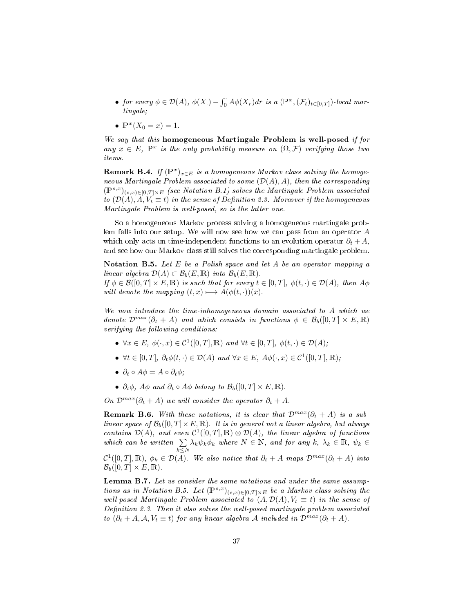- for every  $\phi \in \mathcal{D}(A)$ ,  $\phi(X) \int_0^{\cdot} A \phi(X_r) dr$  is a  $(\mathbb{P}^x, (\mathcal{F}_t)_{t \in [0,T]})$ -local martingale;
- $\mathbb{P}^x(X_0 = x) = 1.$

We say that this homogeneous Martingale Problem is well-posed if for any  $x \in E$ ,  $\mathbb{P}^x$  is the only probability measure on  $(\Omega, \mathcal{F})$  verifying those two items.

**Remark B.4.** If  $(\mathbb{P}^x)_{x \in E}$  is a homogeneous Markov class solving the homogeneous Martingale Problem associated to some  $(\mathcal{D}(A), A)$ , then the corresponding  $(\mathbb{P}^{s,x})_{(s,x)\in[0,T]\times E}$  (see Notation B.1) solves the Martingale Problem associated to  $(\mathcal{D}(A), \overline{A}, V_t \equiv t)$  in the sense of Definition 2.3. Moreover if the homogeneous Martingale Problem is well-posed, so is the latter one.

So a homogeneous Markov process solving a homogeneous martingale problem falls into our setup. We will now see how we can pass from an operator A which only acts on time-independent functions to an evolution operator  $\partial_t + A$ , and see how our Markov class still solves the corresponding martingale problem.

Notation B.5. Let  $E$  be a Polish space and let  $A$  be an operator mapping a linear algebra  $\mathcal{D}(A) \subset \mathcal{B}_b(E, \mathbb{R})$  into  $\mathcal{B}_b(E, \mathbb{R})$ .

If  $\phi \in \mathcal{B}([0,T] \times E, \mathbb{R})$  is such that for every  $t \in [0,T]$ ,  $\phi(t, \cdot) \in \mathcal{D}(A)$ , then  $A\phi$ will denote the mapping  $(t, x) \longmapsto A(\phi(t, \cdot))(x)$ .

We now introduce the time-inhomogeneous domain associated to A which we denote  $\mathcal{D}^{max}(\partial_t + A)$  and which consists in functions  $\phi \in \mathcal{B}_b([0,T] \times E, \mathbb{R})$ verifying the following conditions:

- $\forall x \in E, \, \phi(\cdot, x) \in \mathcal{C}^1([0,T], \mathbb{R})$  and  $\forall t \in [0,T], \, \phi(t, \cdot) \in \mathcal{D}(A);$
- $\forall t \in [0, T], \ \partial_t \phi(t, \cdot) \in \mathcal{D}(A) \text{ and } \forall x \in E, A \phi(\cdot, x) \in \mathcal{C}^1([0, T], \mathbb{R}),$
- $\partial_t \circ A \phi = A \circ \partial_t \phi;$
- $\partial_t \phi$ ,  $A\phi$  and  $\partial_t \circ A\phi$  belong to  $\mathcal{B}_b([0,T] \times E, \mathbb{R})$ .

On  $\mathcal{D}^{max}(\partial_t + A)$  we will consider the operator  $\partial_t + A$ .

**Remark B.6.** With these notations, it is clear that  $\mathcal{D}^{max}(\partial_t + A)$  is a sublinear space of  $\mathcal{B}_b([0,T] \times E, \mathbb{R})$ . It is in general not a linear algebra, but always contains  $\mathcal{D}(A)$ , and even  $\mathcal{C}^1([0,T],\mathbb{R})\otimes \mathcal{D}(A)$ , the linear algebra of functions which can be written  $\Sigma$  $\sum_{k\leq N} \lambda_k \psi_k \phi_k$  where  $N \in \mathbb{N}$ , and for any  $k, \lambda_k \in \mathbb{R}$ ,  $\psi_k \in$  $\mathcal{C}^1([0,T],\mathbb{R}),\ \phi_k\in\mathcal{D}(A)$ . We also notice that  $\partial_t+A$  maps  $\mathcal{D}^{max}(\partial_t+A)$  into  $\mathcal{B}_b([0,T] \times E,\mathbb{R}).$ 

Lemma B.7. Let us consider the same notations and under the same assumptions as in Notation B.5. Let  $(\mathbb{P}^{s,x})_{(s,x)\in[0,T]\times E}$  be a Markov class solving the well-posed Martingale Problem associated to  $(A, \mathcal{D}(A), V_t \equiv t)$  in the sense of Definition 2.3. Then it also solves the well-posed martingale problem associated to  $(\partial_t + A, \mathcal{A}, V_t \equiv t)$  for any linear algebra A included in  $\mathcal{D}^{max}(\partial_t + A)$ .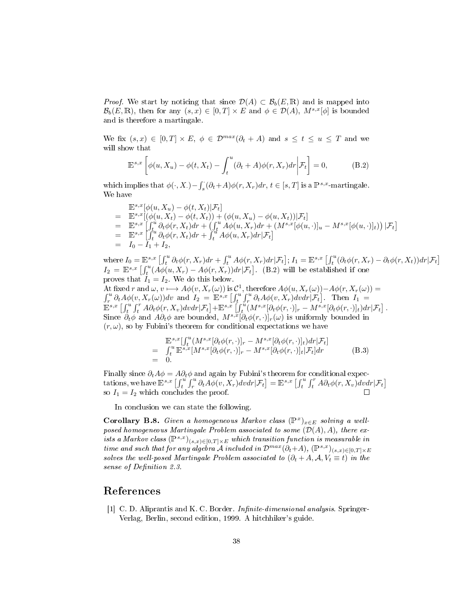*Proof.* We start by noticing that since  $\mathcal{D}(A) \subset \mathcal{B}_b(E, \mathbb{R})$  and is mapped into  $\mathcal{B}_b(E,\mathbb{R})$ , then for any  $(s,x)\in[0,T]\times E$  and  $\phi\in\mathcal{D}(A)$ ,  $M^{s,x}[\phi]$  is bounded and is therefore a martingale.

We fix  $(s, x) \in [0, T] \times E$ ,  $\phi \in \mathcal{D}^{max}(\partial_t + A)$  and  $s \leq t \leq u \leq T$  and we will show that

$$
\mathbb{E}^{s,x}\left[\phi(u,X_u) - \phi(t,X_t) - \int_t^u (\partial_t + A)\phi(r,X_r)dr\bigg|\mathcal{F}_t\right] = 0,
$$
\n(B.2)

which implies that  $\phi(\cdot, X_\cdot) - \int_s^{\cdot} (\partial_t + A) \phi(r, X_r) dr$ ,  $t \in [s, T]$  is a  $\mathbb{P}^{s,x}$ -martingale. We have

$$
\begin{array}{rcl}\n\mathbb{E}^{s,x}[\phi(u,X_u)-\phi(t,X_t)|\mathcal{F}_t] \\
= & \mathbb{E}^{s,x}[(\phi(u,X_t)-\phi(t,X_t))+(\phi(u,X_u)-\phi(u,X_t))|\mathcal{F}_t] \\
= & \mathbb{E}^{s,x}\left[\int_t^u \partial_t \phi(r,X_t)dr + \left(\int_t^u A\phi(u,X_r)dr + (M^{s,x}[\phi(u,\cdot)]_u - M^{s,x}[\phi(u,\cdot)]_t)\right)|\mathcal{F}_t\right] \\
= & \mathbb{E}^{s,x}\left[\int_t^u \partial_t \phi(r,X_t)dr + \int_t^u A\phi(u,X_r)dr|\mathcal{F}_t\right] \\
= & I_0 - I_1 + I_2,\n\end{array}
$$

where  $I_0 = \mathbb{E}^{s,x} \left[ \int_t^u \partial_t \phi(r,X_r) dr + \int_t^u A \phi(r,X_r) dr | \mathcal{F}_t \right]$ ;  $I_1 = \mathbb{E}^{s,x} \left[ \int_t^u (\partial_t \phi(r,X_r) - \partial_t \phi(r,X_t)) dr | \mathcal{F}_t \right]$  $I_2 = \mathbb{E}^{s,x} \left[ \int_t^u (A \phi(u, X_r) - A \phi(r, X_r)) dr | \mathcal{F}_t \right]$ . (B.2) will be established if one proves that  $I_1 = I_2$ . We do this below. At fixed r and  $\omega$ ,  $v \mapsto A\phi(v, X_r(\omega))$  is  $\mathcal{C}^1$ , therefore  $A\phi(u, X_r(\omega)) - A\phi(r, X_r(\omega)) =$  $\int_r^u \partial_t A \phi(v, X_r(\omega)) dv$  and  $I_2 = \mathbb{E}^{s,x} \left[ \int_t^u \int_r^u \partial_t A \phi(v, X_r) dv dr \right] \mathcal{F}_t \right]$ . Then  $I_1 =$  $\mathbb{E}^{s,x}\left[\int_t^u\int_t^r A\partial_t\phi(r,X_v)dvdr|\mathcal{F}_t\right]+\mathbb{E}^{s,x}\left[\int_t^u(M^{s,x}[\partial_t\phi(r,\cdot)]_r-M^{s,x}[\partial_t\phi(r,\cdot)]_t)dr|\mathcal{F}_t\right].$ Since  $\partial_t \phi$  and  $A\partial_t \phi$  are bounded,  $M^{s,x}[\partial_t \phi(r,\cdot)]_r(\omega)$  is uniformly bounded in  $(r, \omega)$ , so by Fubini's theorem for conditional expectations we have

$$
\begin{array}{rcl}\n\mathbb{E}^{s,x}[\int_t^u (M^{s,x}[\partial_t \phi(r,\cdot)]_r - M^{s,x}[\partial_t \phi(r,\cdot)]_t) dr | \mathcal{F}_t] \\
= & \int_t^u \mathbb{E}^{s,x} [M^{s,x}[\partial_t \phi(r,\cdot)]_r - M^{s,x}[\partial_t \phi(r,\cdot)]_t | \mathcal{F}_t] dr \\
= & 0.\n\end{array} \tag{B.3}
$$

Finally since  $\partial_t A \phi = A \partial_t \phi$  and again by Fubini's theorem for conditional expectations, we have  $\mathbb{E}^{s,x} \left[ \int_t^u \int_r^u \partial_t A \phi(v,X_r) dv dr | \mathcal{F}_t \right] = \mathbb{E}^{s,x} \left[ \int_t^u \int_t^r A \partial_t \phi(r,X_v) dv dr | \mathcal{F}_t \right]$ so  $I_1 = I_2$  which concludes the proof.

In conclusion we can state the following.

Corollary B.8. Given a homogeneous Markov class  $(\mathbb{P}^x)_{x \in E}$  solving a wellposed homogeneous Martingale Problem associated to some  $(\mathcal{D}(A), A)$ , there exists a Markov class  $(\mathbb{P}^{s,x})_{(s,x)\in[0,T]\times E}$  which transition function is measurable in time and such that for any algebra A included in  $\mathcal{D}^{max}(\partial_t+A)$ ,  $(\mathbb{P}^{s,x})_{(s,x)\in[0,T]\times E}$ solves the well-posed Martingale Problem associated to  $(\partial_t + A, \mathcal{A}, V_t \equiv t)$  in the sense of Definition 2.3.

### References

[1] C. D. Aliprantis and K. C. Border. *Infinite-dimensional analysis*. Springer-Verlag, Berlin, second edition, 1999. A hitchhiker's guide.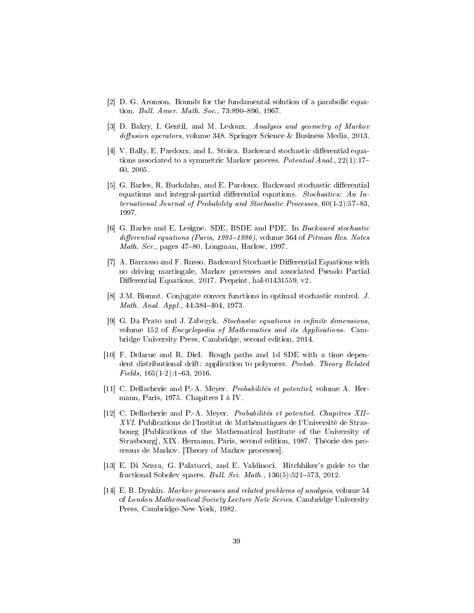- [2] D. G. Aronson. Bounds for the fundamental solution of a parabolic equation. Bull. Amer. Math. Soc., 73:890-896, 1967.
- [3] D. Bakry, I. Gentil, and M. Ledoux. Analysis and geometry of Markov  $diffusion\ operators, volume\ 348. Springer Science & Business Media, 2013.$
- [4] V. Bally, E. Pardoux, and L. Stoica. Backward stochastic differential equations associated to a symmetric Markov process. Potential Anal., 22(1):17-60, 2005.
- [5] G. Barles, R. Buckdahn, and E. Pardoux. Backward stochastic differential equations and integral-partial differential equations. Stochastics: An International Journal of Probability and Stochastic Processes,  $60(1-2):57-83$ , 1997.
- [6] G. Barles and E. Lesigne. SDE, BSDE and PDE. In Backward stochastic differential equations (Paris, 1995–1996), volume 364 of Pitman Res. Notes *Math. Ser.*, pages  $47-80$ . Longman, Harlow, 1997.
- [7] A. Barrasso and F. Russo. Backward Stochastic Differential Equations with no driving martingale, Markov processes and associated Pseudo Partial Differential Equations. 2017. Preprint, hal-01431559, v2.
- [8] J.M. Bismut. Conjugate convex functions in optimal stochastic control. J. Math. Anal. Appl.,  $44:384-404$ , 1973.
- [9] G. Da Prato and J. Zabczyk. Stochastic equations in infinite dimensions, volume 152 of Encyclopedia of Mathematics and its Applications. Cambridge University Press, Cambridge, second edition, 2014.
- [10] F. Delarue and R. Diel. Rough paths and 1d SDE with a time dependent distributional drift: application to polymers. Probab. Theory Related  $Fields, 165(1-2):1-63, 2016.$
- [11] C. Dellacherie and P.-A. Meyer. Probabilités et potentiel, volume A. Hermann, Paris, 1975. Chapitres I à IV.
- [12] C. Dellacherie and P.-A. Meyer. Probabilités et potentiel. Chapitres XII-XVI. Publications de l'Institut de Mathématiques de l'Université de Strasbourg [Publications of the Mathematical Institute of the University of Strasbourg], XIX. Hermann, Paris, second edition, 1987. Théorie des processus de Markov. [Theory of Markov processes].
- [13] E. Di Nezza, G. Palatucci, and E. Valdinoci. Hitchhiker's guide to the fractional Sobolev spaces. *Bull. Sci. Math.*,  $136(5):521-573$ , 2012.
- [14] E. B. Dynkin. Markov processes and related problems of analysis, volume 54 of London Mathematical Society Lecture Note Series. Cambridge University Press, Cambridge-New York, 1982.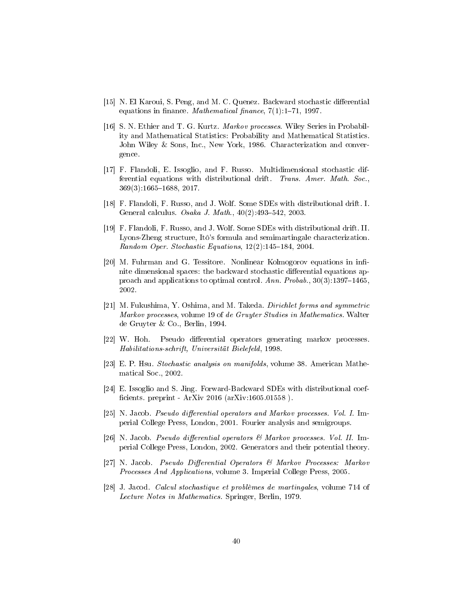- [15] N. El Karoui, S. Peng, and M. C. Quenez. Backward stochastic differential equations in finance. *Mathematical finance*,  $7(1):1-71$ , 1997.
- [16] S. N. Ethier and T. G. Kurtz. Markov processes. Wiley Series in Probability and Mathematical Statistics: Probability and Mathematical Statistics. John Wiley & Sons, Inc., New York, 1986. Characterization and convergence.
- [17] F. Flandoli, E. Issoglio, and F. Russo. Multidimensional stochastic differential equations with distributional drift. Trans. Amer. Math. Soc., 369(3):1665-1688, 2017.
- [18] F. Flandoli, F. Russo, and J. Wolf. Some SDEs with distributional drift. I. General calculus. Osaka J. Math.,  $40(2):493-542$ , 2003.
- [19] F. Flandoli, F. Russo, and J. Wolf. Some SDEs with distributional drift. II. Lyons-Zheng structure, Itô's formula and semimartingale characterization. Random Oper. Stochastic Equations,  $12(2)$ :145-184, 2004.
- [20] M. Fuhrman and G. Tessitore. Nonlinear Kolmogorov equations in infinite dimensional spaces: the backward stochastic differential equations approach and applications to optimal control. Ann. Probab.,  $30(3):1397-1465$ , 2002.
- [21] M. Fukushima, Y. Oshima, and M. Takeda. *Dirichlet forms and symmetric* Markov processes, volume 19 of de Gruyter Studies in Mathematics. Walter de Gruyter & Co., Berlin, 1994.
- [22] W. Hoh. Pseudo differential operators generating markov processes. Habilitations-schrift, Universität Bielefeld, 1998.
- [23] E. P. Hsu. Stochastic analysis on manifolds, volume 38. American Mathematical Soc., 2002.
- [24] E. Issoglio and S. Jing. Forward-Backward SDEs with distributional coef ficients. preprint -  $ArXiv 2016 (arXiv:1605.01558)$ .
- [25] N. Jacob. Pseudo differential operators and Markov processes. Vol. I. Imperial College Press, London, 2001. Fourier analysis and semigroups.
- [26] N. Jacob. Pseudo differential operators  $\mathcal C$  Markov processes. Vol. II. Imperial College Press, London, 2002. Generators and their potential theory.
- [27] N. Jacob. Pseudo Differential Operators & Markov Processes: Markov Processes And Applications, volume 3. Imperial College Press, 2005.
- [28] J. Jacod. Calcul stochastique et problèmes de martingales, volume 714 of Lecture Notes in Mathematics. Springer, Berlin, 1979.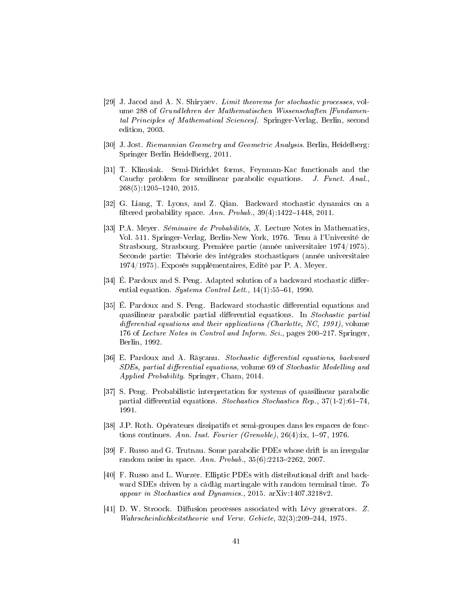- [29] J. Jacod and A. N. Shiryaev. Limit theorems for stochastic processes, volume 288 of Grundlehren der Mathematischen Wissenschaften [Fundamental Principles of Mathematical Sciences]. Springer-Verlag, Berlin, second edition, 2003.
- [30] J. Jost. Riemannian Geometry and Geometric Analysis. Berlin, Heidelberg: Springer Berlin Heidelberg, 2011.
- [31] T. Klimsiak. Semi-Dirichlet forms, Feynman-Kac functionals and the Cauchy problem for semilinear parabolic equations. J. Funct. Anal.,  $268(5):1205-1240, 2015.$
- [32] G. Liang, T. Lyons, and Z. Qian. Backward stochastic dynamics on a filtered probability space. Ann. Probab.,  $39(4):1422-1448$ , 2011.
- [33] P.A. Meyer. Séminaire de Probabilités, X. Lecture Notes in Mathematics, Vol. 511. Springer-Verlag, Berlin-New York, 1976. Tenu à l'Université de Strasbourg, Strasbourg. Première partie (année universitaire 1974/1975). Seconde partie: Théorie des intégrales stochastiques (année universitaire 1974/1975). Exposés supplémentaires, Edité par P. A. Meyer.
- [34] É. Pardoux and S. Peng. Adapted solution of a backward stochastic differential equation. Systems Control Lett.,  $14(1):55-61$ , 1990.
- [35] É. Pardoux and S. Peng. Backward stochastic differential equations and quasilinear parabolic partial differential equations. In Stochastic partial differential equations and their applications (Charlotte,  $NC$ , 1991), volume 176 of Lecture Notes in Control and Inform. Sci., pages 200–217. Springer, Berlin, 1992.
- [36] E. Pardoux and A. Rășcanu. Stochastic differential equations, backward  $SDEs$ , partial differential equations, volume 69 of  $Stochastic$  Modelling and Applied Probability. Springer, Cham, 2014.
- [37] S. Peng. Probabilistic interpretation for systems of quasilinear parabolic partial differential equations. Stochastics Stochastics Rep.,  $37(1-2):61-74$ , 1991.
- [38] J.P. Roth. Opérateurs dissipatifs et semi-groupes dans les espaces de fonctions continues. Ann. Inst. Fourier (Grenoble),  $26(4)$ :ix,  $1-97$ , 1976.
- [39] F. Russo and G. Trutnau. Some parabolic PDEs whose drift is an irregular random noise in space. Ann. Probab.,  $35(6):2213-2262$ , 2007.
- [40] F. Russo and L. Wurzer. Elliptic PDEs with distributional drift and backward SDEs driven by a càdlàg martingale with random terminal time. To appear in Stochastics and Dynamics., 2015. arXiv:1407.3218v2.
- [41] D. W. Stroock. Diffusion processes associated with Lévy generators.  $Z$ . Wahrscheinlichkeitstheorie und Verw. Gebiete, 32(3):209–244, 1975.